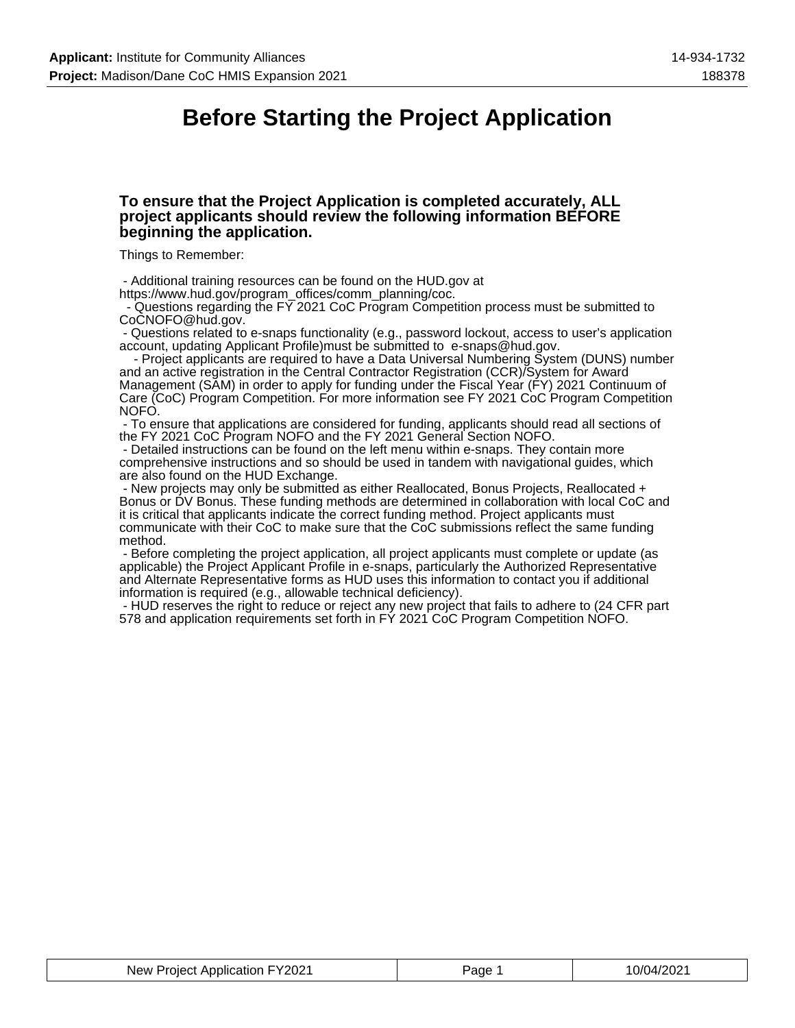# **Before Starting the Project Application**

#### **To ensure that the Project Application is completed accurately, ALL project applicants should review the following information BEFORE beginning the application.**

Things to Remember:

- Additional training resources can be found on the HUD.gov at

https://www.hud.gov/program\_offices/comm\_planning/coc.

 - Questions regarding the FY 2021 CoC Program Competition process must be submitted to CoCNOFO@hud.gov.

 - Questions related to e-snaps functionality (e.g., password lockout, access to user's application account, updating Applicant Profile)must be submitted to e-snaps@hud.gov.

 - Project applicants are required to have a Data Universal Numbering System (DUNS) number and an active registration in the Central Contractor Registration (CCR)/System for Award Management (SAM) in order to apply for funding under the Fiscal Year (FY) 2021 Continuum of Care (CoC) Program Competition. For more information see FY 2021 CoC Program Competition NOFO.

 - To ensure that applications are considered for funding, applicants should read all sections of the FY 2021 CoC Program NOFO and the FY 2021 General Section NOFO.

 - Detailed instructions can be found on the left menu within e-snaps. They contain more comprehensive instructions and so should be used in tandem with navigational guides, which are also found on the HUD Exchange.

 - New projects may only be submitted as either Reallocated, Bonus Projects, Reallocated + Bonus or DV Bonus. These funding methods are determined in collaboration with local CoC and it is critical that applicants indicate the correct funding method. Project applicants must communicate with their CoC to make sure that the CoC submissions reflect the same funding method.

 - Before completing the project application, all project applicants must complete or update (as applicable) the Project Applicant Profile in e-snaps, particularly the Authorized Representative and Alternate Representative forms as HUD uses this information to contact you if additional information is required (e.g., allowable technical deficiency).

 - HUD reserves the right to reduce or reject any new project that fails to adhere to (24 CFR part 578 and application requirements set forth in FY 2021 CoC Program Competition NOFO.

| ication FY2021<br><b>Project Application</b><br>New | 'age | $\sim$<br>04/2021<br>UZ |
|-----------------------------------------------------|------|-------------------------|
|-----------------------------------------------------|------|-------------------------|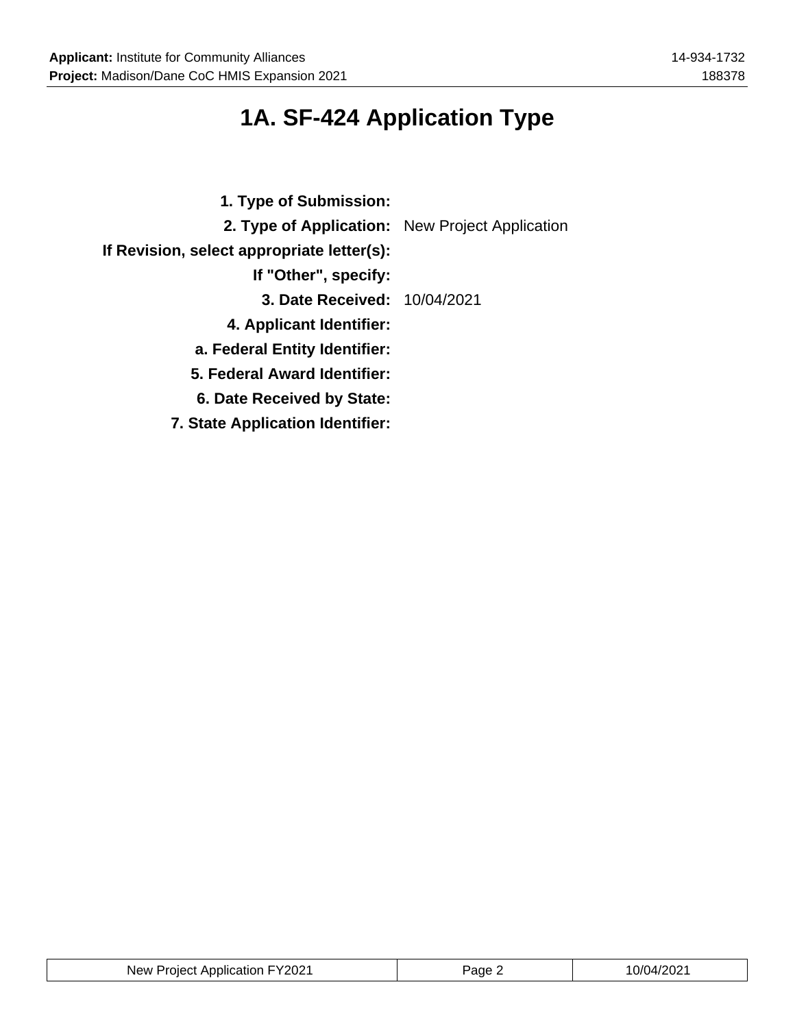# **1A. SF-424 Application Type**

| 1. Type of Submission:                          |  |
|-------------------------------------------------|--|
| 2. Type of Application: New Project Application |  |
| If Revision, select appropriate letter(s):      |  |
| If "Other", specify:                            |  |
| 3. Date Received: 10/04/2021                    |  |
| 4. Applicant Identifier:                        |  |
| a. Federal Entity Identifier:                   |  |
| 5. Federal Award Identifier:                    |  |
| 6. Date Received by State:                      |  |
| <b>7. State Application Identifier:</b>         |  |

| New Project Application FY2021 | Paɑe | 10/04/2021 |
|--------------------------------|------|------------|
|--------------------------------|------|------------|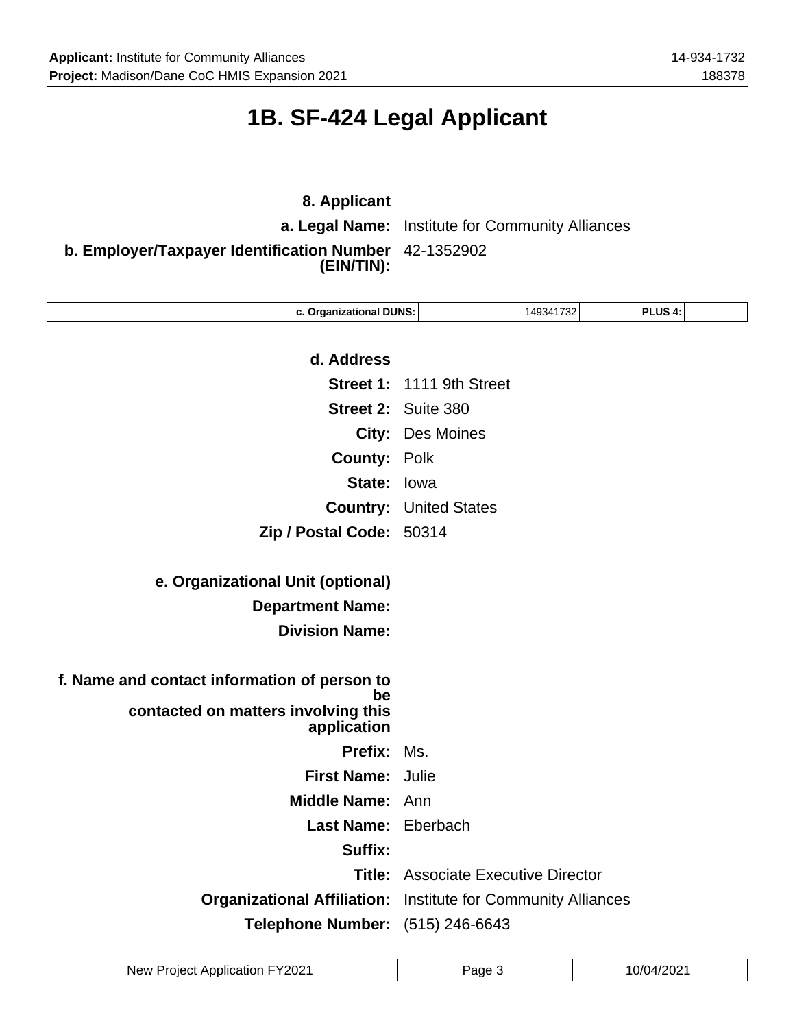# **1B. SF-424 Legal Applicant**

### **8. Applicant**

**a. Legal Name:** Institute for Community Alliances

**b. Employer/Taxpayer Identification Number** 42-1352902 **(EIN/TIN):**

| c. Organizational DUNS:                                              | 149341732                                  | PLUS 4: |  |
|----------------------------------------------------------------------|--------------------------------------------|---------|--|
|                                                                      |                                            |         |  |
| d. Address                                                           |                                            |         |  |
|                                                                      | Street 1: 1111 9th Street                  |         |  |
|                                                                      | <b>Street 2: Suite 380</b>                 |         |  |
|                                                                      | City: Des Moines                           |         |  |
| <b>County: Polk</b>                                                  |                                            |         |  |
| State: lowa                                                          |                                            |         |  |
|                                                                      | <b>Country: United States</b>              |         |  |
| Zip / Postal Code: 50314                                             |                                            |         |  |
|                                                                      |                                            |         |  |
| e. Organizational Unit (optional)                                    |                                            |         |  |
| <b>Department Name:</b>                                              |                                            |         |  |
| <b>Division Name:</b>                                                |                                            |         |  |
|                                                                      |                                            |         |  |
| f. Name and contact information of person to<br>be                   |                                            |         |  |
| contacted on matters involving this<br>application                   |                                            |         |  |
| Prefix: Ms.                                                          |                                            |         |  |
| First Name: Julie                                                    |                                            |         |  |
| Middle Name: Ann                                                     |                                            |         |  |
| Last Name: Eberbach                                                  |                                            |         |  |
| Suffix:                                                              |                                            |         |  |
|                                                                      | <b>Title:</b> Associate Executive Director |         |  |
| <b>Organizational Affiliation:</b> Institute for Community Alliances |                                            |         |  |
| Telephone Number: (515) 246-6643                                     |                                            |         |  |
|                                                                      |                                            |         |  |

| New Project Application FY2021 | Page 3 | 10/04/2021 |
|--------------------------------|--------|------------|
|--------------------------------|--------|------------|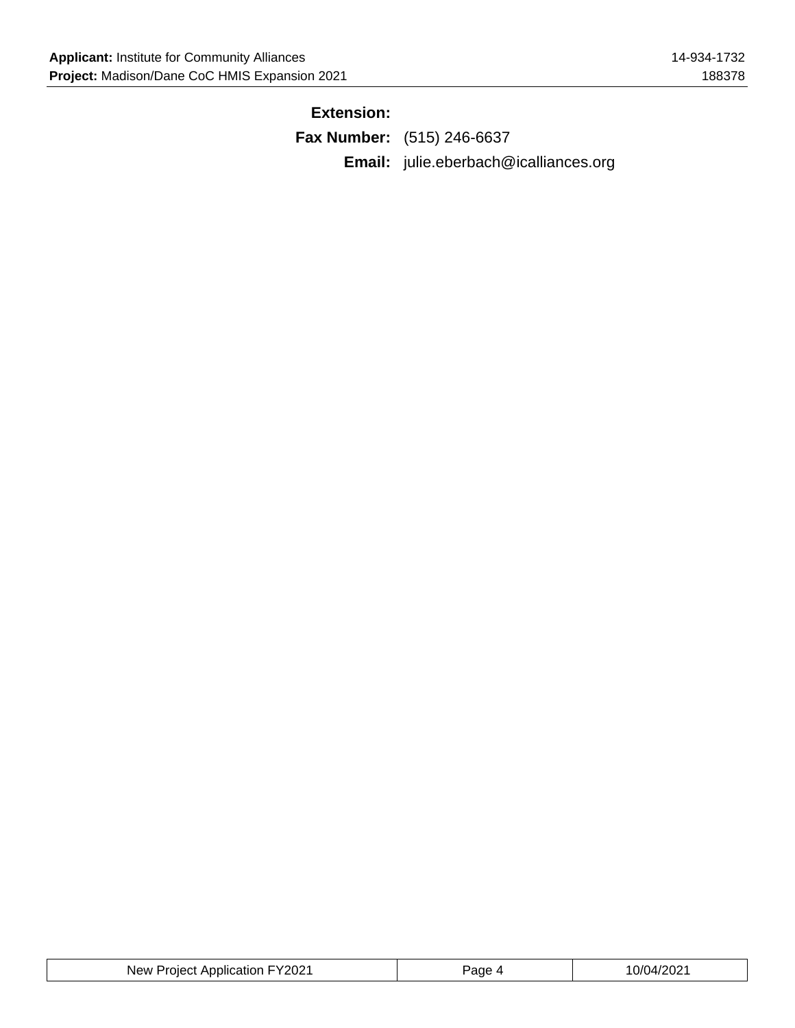### **Extension:**

| <b>Fax Number:</b> (515) 246-6637            |
|----------------------------------------------|
| <b>Email:</b> julie.eberbach@icalliances.org |

| New Project Application FY2021 | Page 4 | 10/04/2021 |
|--------------------------------|--------|------------|
|--------------------------------|--------|------------|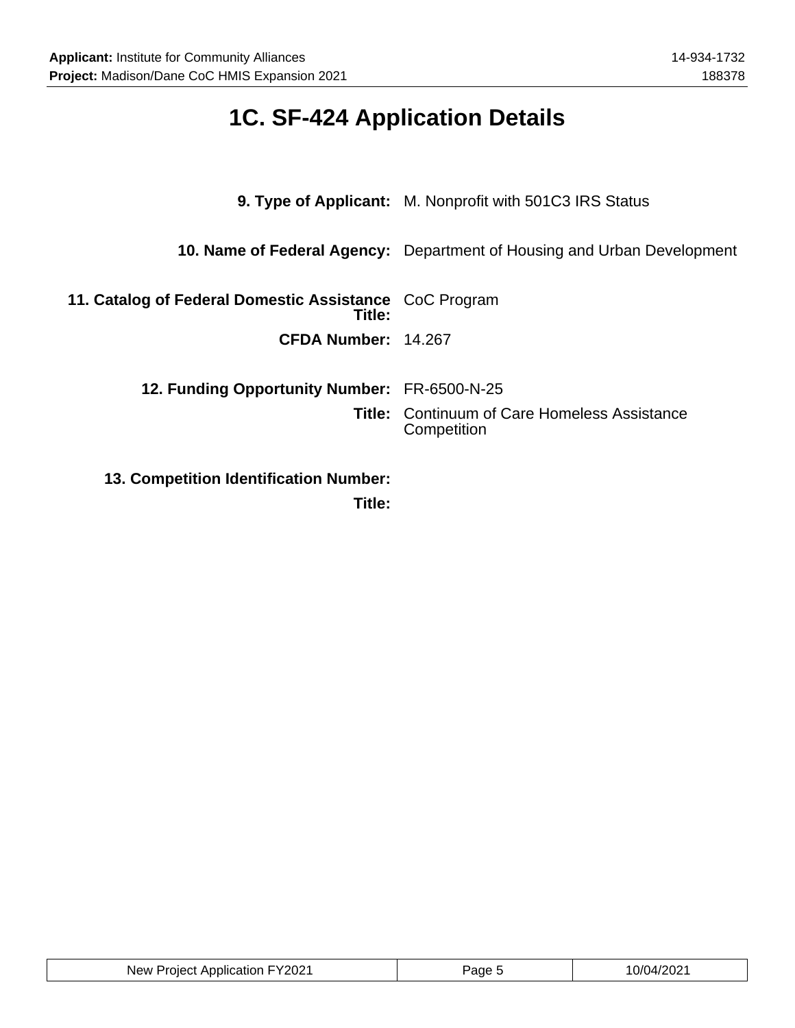٦

# **1C. SF-424 Application Details**

|                                                                  | <b>9. Type of Applicant:</b> M. Nonprofit with 501C3 IRS Status         |
|------------------------------------------------------------------|-------------------------------------------------------------------------|
|                                                                  | 10. Name of Federal Agency: Department of Housing and Urban Development |
| 11. Catalog of Federal Domestic Assistance CoC Program<br>Title: |                                                                         |
| CFDA Number: 14.267                                              |                                                                         |
| 12. Funding Opportunity Number: FR-6500-N-25                     |                                                                         |
|                                                                  | <b>Title: Continuum of Care Homeless Assistance</b><br>Competition      |
| <b>13. Competition Identification Number:</b>                    |                                                                         |

**Title:**

| 04/202<br>$\sim$ $\sim$ $\sim$<br><i>'</i> roiect<br>,,<br>ane<br>______ | <sup>F</sup> Y2021<br>Application<br><b>New</b> |  |
|--------------------------------------------------------------------------|-------------------------------------------------|--|
|--------------------------------------------------------------------------|-------------------------------------------------|--|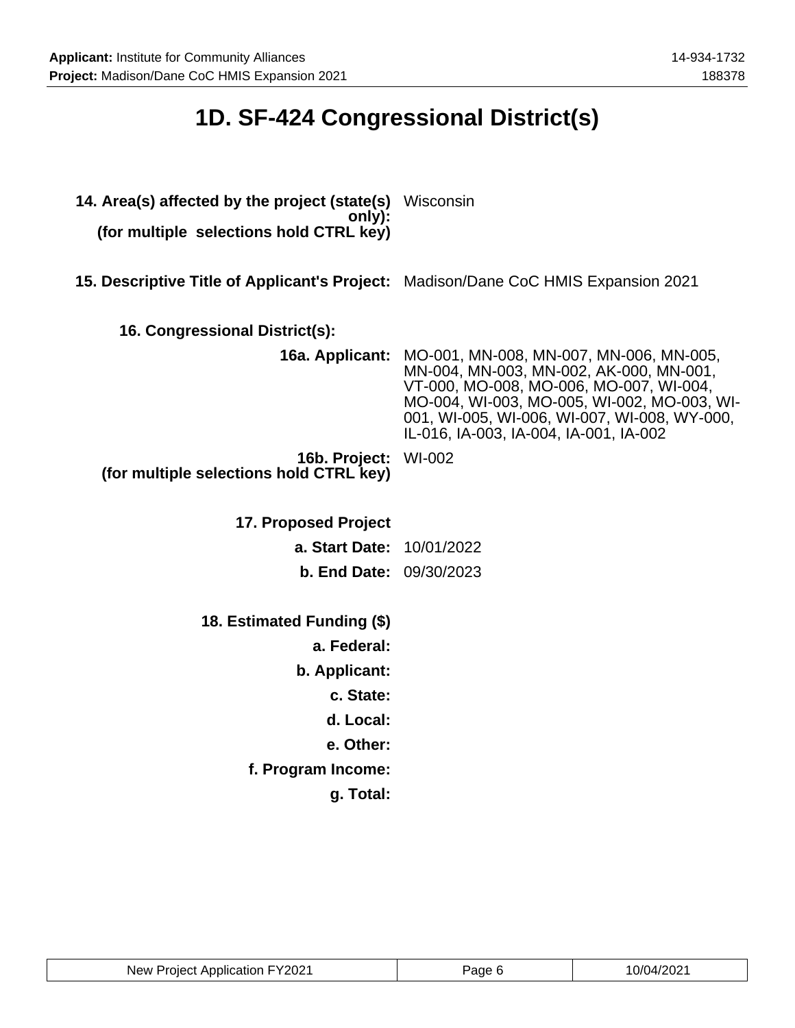# **1D. SF-424 Congressional District(s)**

| 14. Area(s) affected by the project (state(s) Wisconsin<br>only):<br>(for multiple selections hold CTRL key) |                                                                                                                                                                                                                                                                                               |
|--------------------------------------------------------------------------------------------------------------|-----------------------------------------------------------------------------------------------------------------------------------------------------------------------------------------------------------------------------------------------------------------------------------------------|
| 15. Descriptive Title of Applicant's Project: Madison/Dane CoC HMIS Expansion 2021                           |                                                                                                                                                                                                                                                                                               |
| 16. Congressional District(s):                                                                               |                                                                                                                                                                                                                                                                                               |
|                                                                                                              | <b>16a. Applicant:</b> MO-001, MN-008, MN-007, MN-006, MN-005,<br>MN-004, MN-003, MN-002, AK-000, MN-001,<br>VT-000, MO-008, MO-006, MO-007, WI-004,<br>MO-004, WI-003, MO-005, WI-002, MO-003, WI-<br>001, WI-005, WI-006, WI-007, WI-008, WY-000,<br>IL-016, IA-003, IA-004, IA-001, IA-002 |
| 16b. Project: WI-002<br>(for multiple selections hold CTRL key)                                              |                                                                                                                                                                                                                                                                                               |
| 17. Proposed Project                                                                                         |                                                                                                                                                                                                                                                                                               |
| <b>a. Start Date: 10/01/2022</b>                                                                             |                                                                                                                                                                                                                                                                                               |
| <b>b. End Date: 09/30/2023</b>                                                                               |                                                                                                                                                                                                                                                                                               |
| 18. Estimated Funding (\$)                                                                                   |                                                                                                                                                                                                                                                                                               |
| a. Federal:                                                                                                  |                                                                                                                                                                                                                                                                                               |
| b. Applicant:                                                                                                |                                                                                                                                                                                                                                                                                               |
| c. State:                                                                                                    |                                                                                                                                                                                                                                                                                               |
| d. Local:                                                                                                    |                                                                                                                                                                                                                                                                                               |
| e. Other:                                                                                                    |                                                                                                                                                                                                                                                                                               |
| f. Program Income:                                                                                           |                                                                                                                                                                                                                                                                                               |
| g. Total:                                                                                                    |                                                                                                                                                                                                                                                                                               |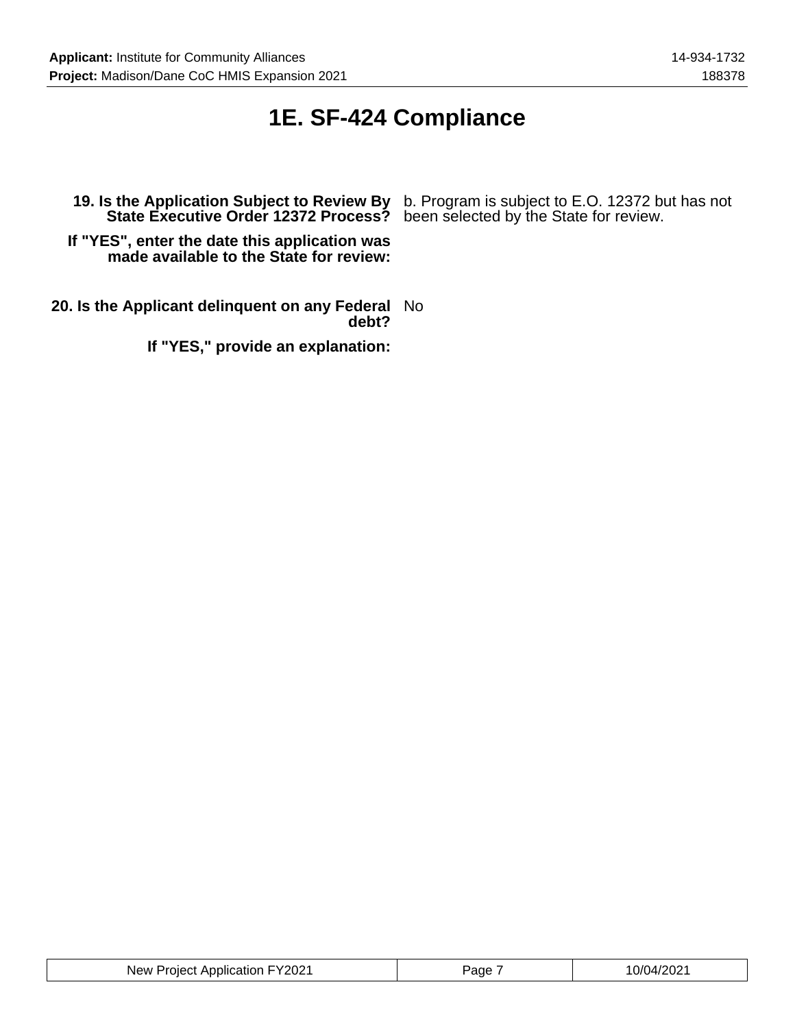# **1E. SF-424 Compliance**

**State Executive Order 12372 Process?** been selected by the State for review.

**If "YES", enter the date this application was made available to the State for review:**

**20. Is the Applicant delinquent on any Federal** No **debt?**

**If "YES," provide an explanation:**

**19. Is the Application Subject to Review By** b. Program is subject to E.O. 12372 but has not

| FY2021 .<br><b>New Project Application</b> | Paɑe | 10/04/2021 |
|--------------------------------------------|------|------------|
|--------------------------------------------|------|------------|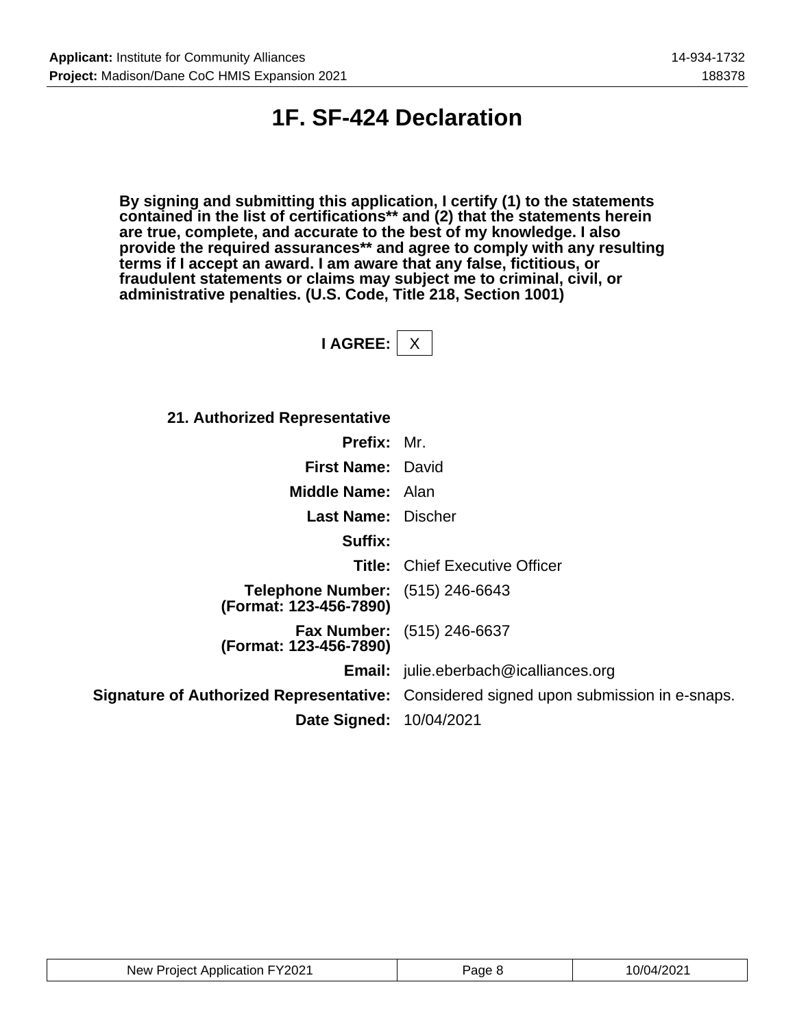# **1F. SF-424 Declaration**

**By signing and submitting this application, I certify (1) to the statements contained in the list of certifications\*\* and (2) that the statements herein are true, complete, and accurate to the best of my knowledge. I also provide the required assurances\*\* and agree to comply with any resulting terms if I accept an award. I am aware that any false, fictitious, or fraudulent statements or claims may subject me to criminal, civil, or administrative penalties. (U.S. Code, Title 218, Section 1001)**

**I AGREE:** X

**21. Authorized Representative**

| Prefix: Mr.                                                       |                                                                                       |
|-------------------------------------------------------------------|---------------------------------------------------------------------------------------|
| <b>First Name: David</b>                                          |                                                                                       |
| <b>Middle Name: Alan</b>                                          |                                                                                       |
| <b>Last Name: Discher</b>                                         |                                                                                       |
| Suffix:                                                           |                                                                                       |
|                                                                   | <b>Title:</b> Chief Executive Officer                                                 |
| <b>Telephone Number:</b> (515) 246-6643<br>(Format: 123-456-7890) |                                                                                       |
| (Format: 123-456-7890)                                            | <b>Fax Number:</b> (515) 246-6637                                                     |
|                                                                   | <b>Email:</b> julie.eberbach@icalliances.org                                          |
|                                                                   | Signature of Authorized Representative: Considered signed upon submission in e-snaps. |
| <b>Date Signed: 10/04/2021</b>                                    |                                                                                       |

| New Project Application FY2021 | Page 8 | 10/04/2021 |
|--------------------------------|--------|------------|
|--------------------------------|--------|------------|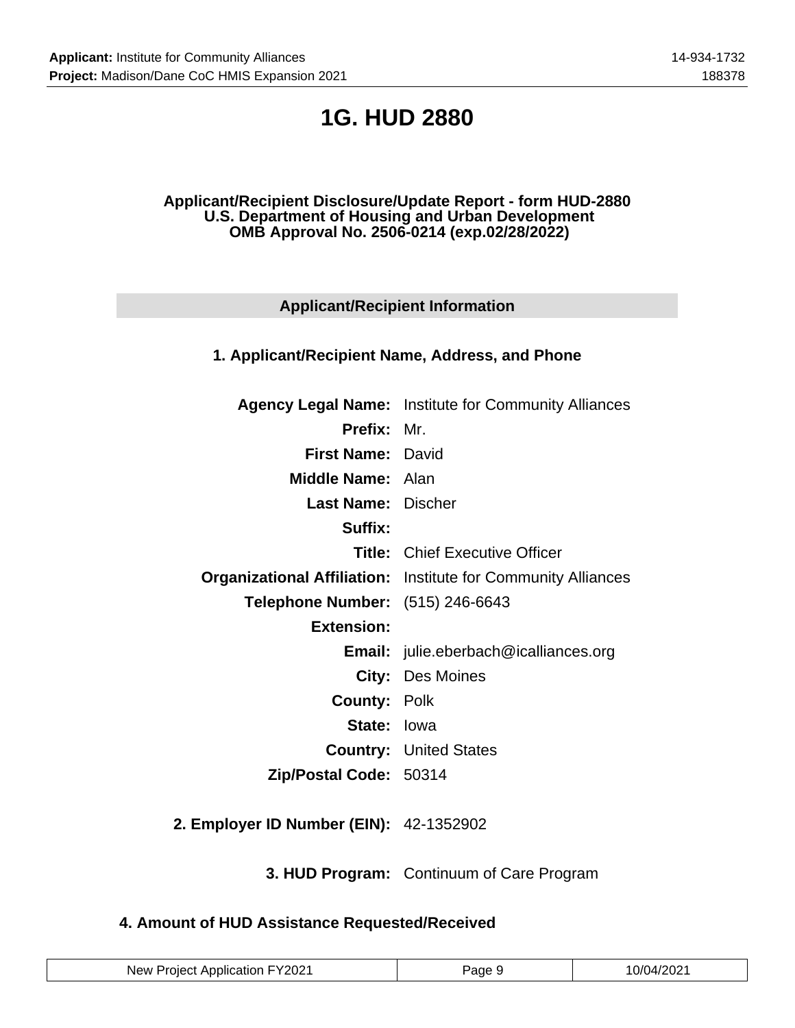# **1G. HUD 2880**

### **Applicant/Recipient Disclosure/Update Report - form HUD-2880 U.S. Department of Housing and Urban Development OMB Approval No. 2506-0214 (exp.02/28/2022)**

### **Applicant/Recipient Information**

### **1. Applicant/Recipient Name, Address, and Phone**

|                                         | <b>Agency Legal Name:</b> Institute for Community Alliances          |
|-----------------------------------------|----------------------------------------------------------------------|
| <b>Prefix: Mr.</b>                      |                                                                      |
| <b>First Name: David</b>                |                                                                      |
| <b>Middle Name: Alan</b>                |                                                                      |
| <b>Last Name:</b> Discher               |                                                                      |
| Suffix:                                 |                                                                      |
|                                         | <b>Title:</b> Chief Executive Officer                                |
|                                         | <b>Organizational Affiliation:</b> Institute for Community Alliances |
| <b>Telephone Number:</b> (515) 246-6643 |                                                                      |
| <b>Extension:</b>                       |                                                                      |
|                                         | <b>Email:</b> julie.eberbach@icalliances.org                         |
|                                         | <b>City: Des Moines</b>                                              |
| <b>County: Polk</b>                     |                                                                      |
| <b>State: lowa</b>                      |                                                                      |
|                                         | <b>Country: United States</b>                                        |
| Zip/Postal Code: 50314                  |                                                                      |
|                                         |                                                                      |

**2. Employer ID Number (EIN):** 42-1352902

**3. HUD Program:** Continuum of Care Program

### **4. Amount of HUD Assistance Requested/Received**

| New Project Application FY2021 | Paɑe | 10/04/2021 |
|--------------------------------|------|------------|
|--------------------------------|------|------------|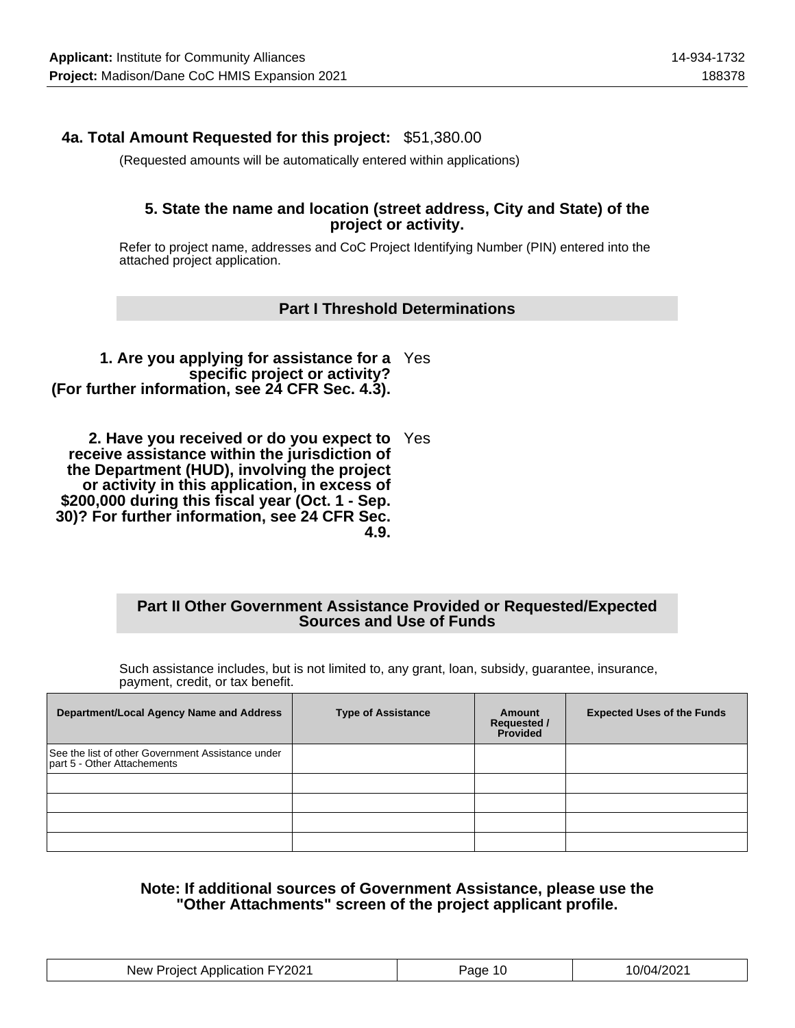### **4a. Total Amount Requested for this project:** \$51,380.00

(Requested amounts will be automatically entered within applications)

### **5. State the name and location (street address, City and State) of the project or activity.**

Refer to project name, addresses and CoC Project Identifying Number (PIN) entered into the attached project application.

### **Part I Threshold Determinations**

**1. Are you applying for assistance for a** Yes **specific project or activity? (For further information, see 24 CFR Sec. 4.3).**

**2. Have you received or do you expect to** Yes **receive assistance within the jurisdiction of the Department (HUD), involving the project or activity in this application, in excess of \$200,000 during this fiscal year (Oct. 1 - Sep. 30)? For further information, see 24 CFR Sec. 4.9.**

### **Part II Other Government Assistance Provided or Requested/Expected Sources and Use of Funds**

Such assistance includes, but is not limited to, any grant, loan, subsidy, guarantee, insurance, payment, credit, or tax benefit.

| <b>Department/Local Agency Name and Address</b>                                  | <b>Type of Assistance</b> | Amount<br><b>Requested /</b><br>Provided | <b>Expected Uses of the Funds</b> |
|----------------------------------------------------------------------------------|---------------------------|------------------------------------------|-----------------------------------|
| See the list of other Government Assistance under<br>part 5 - Other Attachements |                           |                                          |                                   |
|                                                                                  |                           |                                          |                                   |
|                                                                                  |                           |                                          |                                   |
|                                                                                  |                           |                                          |                                   |
|                                                                                  |                           |                                          |                                   |

### **Note: If additional sources of Government Assistance, please use the "Other Attachments" screen of the project applicant profile.**

| New Project Application FY2021 | Page 10 | 10/04/2021 |
|--------------------------------|---------|------------|
|--------------------------------|---------|------------|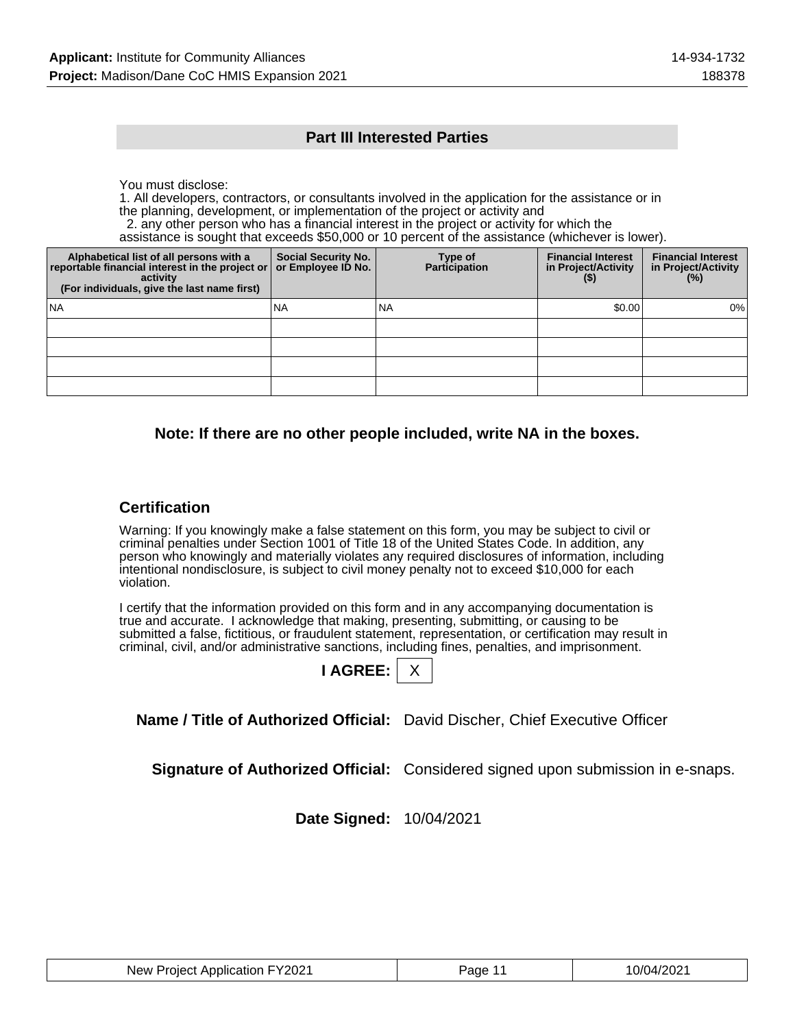### **Part III Interested Parties**

You must disclose:

1. All developers, contractors, or consultants involved in the application for the assistance or in the planning, development, or implementation of the project or activity and

2. any other person who has a financial interest in the project or activity for which the

assistance is sought that exceeds \$50,000 or 10 percent of the assistance (whichever is lower).

| Alphabetical list of all persons with a<br>reportable financial interest in the project or<br>activity<br>(For individuals, give the last name first) | <b>Social Security No.</b><br>or Employee ID No. | Type of<br><b>Participation</b> | <b>Financial Interest</b><br>in Project/Activity<br>$($ \$) | <b>Financial Interest</b><br>in Project/Activity<br>$(\%)$ |
|-------------------------------------------------------------------------------------------------------------------------------------------------------|--------------------------------------------------|---------------------------------|-------------------------------------------------------------|------------------------------------------------------------|
| l NA                                                                                                                                                  | <b>NA</b>                                        | INA                             | \$0.00                                                      | 0%                                                         |
|                                                                                                                                                       |                                                  |                                 |                                                             |                                                            |
|                                                                                                                                                       |                                                  |                                 |                                                             |                                                            |
|                                                                                                                                                       |                                                  |                                 |                                                             |                                                            |
|                                                                                                                                                       |                                                  |                                 |                                                             |                                                            |

### **Note: If there are no other people included, write NA in the boxes.**

#### **Certification**

Warning: If you knowingly make a false statement on this form, you may be subject to civil or criminal penalties under Section 1001 of Title 18 of the United States Code. In addition, any person who knowingly and materially violates any required disclosures of information, including intentional nondisclosure, is subject to civil money penalty not to exceed \$10,000 for each violation.

I certify that the information provided on this form and in any accompanying documentation is true and accurate. I acknowledge that making, presenting, submitting, or causing to be submitted a false, fictitious, or fraudulent statement, representation, or certification may result in criminal, civil, and/or administrative sanctions, including fines, penalties, and imprisonment.

| - 1<br>siR.<br>⊷.<br>$\mathbf{a}$<br>т. |  |
|-----------------------------------------|--|
|-----------------------------------------|--|

**Name / Title of Authorized Official:** David Discher, Chief Executive Officer

**Signature of Authorized Official:** Considered signed upon submission in e-snaps.

**Date Signed:** 10/04/2021

| New Project Application FY2021 | Page 11 | 10/04/2021 |
|--------------------------------|---------|------------|
|--------------------------------|---------|------------|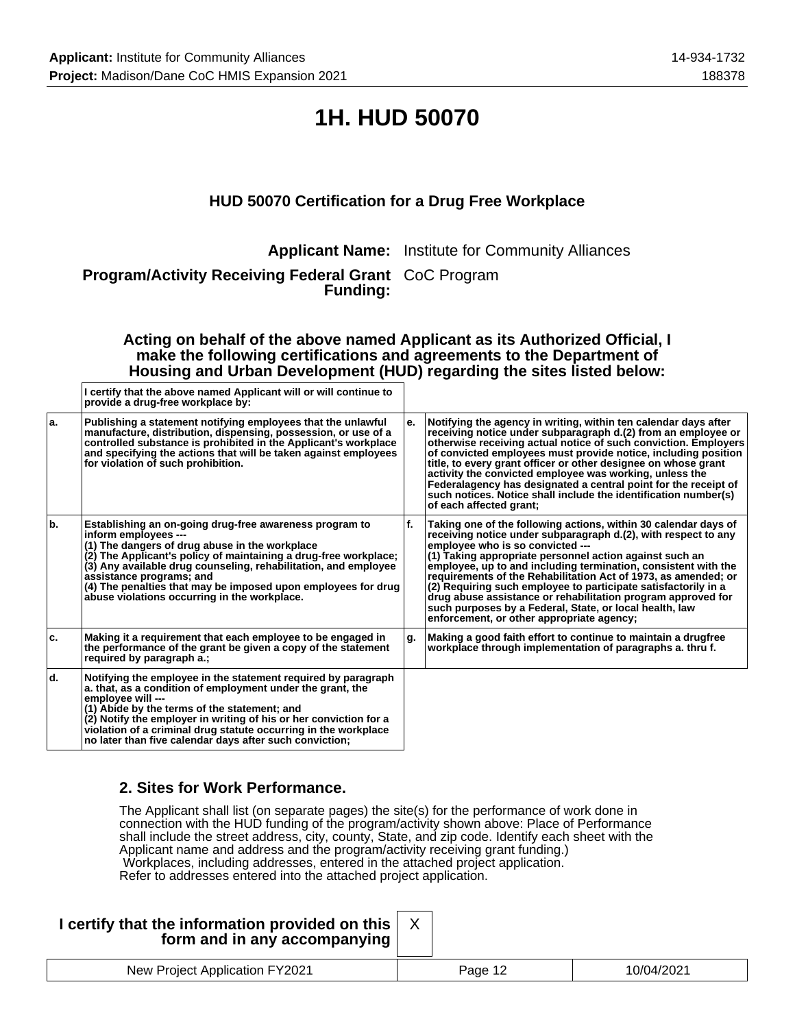# **1H. HUD 50070**

### **HUD 50070 Certification for a Drug Free Workplace**

**Applicant Name:** Institute for Community Alliances

**Program/Activity Receiving Federal Grant** CoC Program **Funding:**

**Acting on behalf of the above named Applicant as its Authorized Official, I make the following certifications and agreements to the Department of Housing and Urban Development (HUD) regarding the sites listed below:**

|     | I certify that the above named Applicant will or will continue to<br>provide a drug-free workplace by:                                                                                                                                                                                                                                                                                                                |    |                                                                                                                                                                                                                                                                                                                                                                                                                                                                                                                                                                                                                |
|-----|-----------------------------------------------------------------------------------------------------------------------------------------------------------------------------------------------------------------------------------------------------------------------------------------------------------------------------------------------------------------------------------------------------------------------|----|----------------------------------------------------------------------------------------------------------------------------------------------------------------------------------------------------------------------------------------------------------------------------------------------------------------------------------------------------------------------------------------------------------------------------------------------------------------------------------------------------------------------------------------------------------------------------------------------------------------|
| la. | Publishing a statement notifying employees that the unlawful<br>manufacture, distribution, dispensing, possession, or use of a<br>controlled substance is prohibited in the Applicant's workplace<br>and specifying the actions that will be taken against employees<br>for violation of such prohibition.                                                                                                            | е. | Notifying the agency in writing, within ten calendar days after<br>receiving notice under subparagraph d.(2) from an employee or<br>otherwise receiving actual notice of such conviction. Employers<br>of convicted employees must provide notice, including position<br>title, to every grant officer or other designee on whose grant<br>activity the convicted employee was working, unless the<br>Federalagency has designated a central point for the receipt of<br>such notices. Notice shall include the identification number(s)<br>of each affected grant;                                            |
| b.  | Establishing an on-going drug-free awareness program to<br>inform employees ---<br>(1) The dangers of drug abuse in the workplace<br>(2) The Applicant's policy of maintaining a drug-free workplace;<br>(3) Any available drug counseling, rehabilitation, and employee<br>assistance programs; and<br>(4) The penalties that may be imposed upon employees for drug<br>abuse violations occurring in the workplace. | f. | Taking one of the following actions, within 30 calendar days of<br>receiving notice under subparagraph d.(2), with respect to any<br>employee who is so convicted ---<br>(1) Taking appropriate personnel action against such an<br>employee, up to and including termination, consistent with the<br>requirements of the Rehabilitation Act of 1973, as amended; or<br>(2) Requiring such employee to participate satisfactorily in a<br>drug abuse assistance or rehabilitation program approved for<br>such purposes by a Federal, State, or local health, law<br>enforcement, or other appropriate agency; |
| ۱c. | Making it a requirement that each employee to be engaged in<br>the performance of the grant be given a copy of the statement<br>required by paragraph a.;                                                                                                                                                                                                                                                             | g. | Making a good faith effort to continue to maintain a drugfree<br>workplace through implementation of paragraphs a. thru f.                                                                                                                                                                                                                                                                                                                                                                                                                                                                                     |
| ld. | Notifying the employee in the statement required by paragraph<br>a. that, as a condition of employment under the grant, the<br>employee will ---<br>(1) Abide by the terms of the statement; and<br>(2) Notify the employer in writing of his or her conviction for a<br>violation of a criminal drug statute occurring in the workplace<br>no later than five calendar days after such conviction;                   |    |                                                                                                                                                                                                                                                                                                                                                                                                                                                                                                                                                                                                                |

### **2. Sites for Work Performance.**

The Applicant shall list (on separate pages) the site(s) for the performance of work done in connection with the HUD funding of the program/activity shown above: Place of Performance shall include the street address, city, county, State, and zip code. Identify each sheet with the Applicant name and address and the program/activity receiving grant funding.) Workplaces, including addresses, entered in the attached project application. Refer to addresses entered into the attached project application.

| I certify that the information provided on this  <br>form and in any accompanying I |         |            |
|-------------------------------------------------------------------------------------|---------|------------|
| New Project Application FY2021                                                      | Page 12 | 10/04/2021 |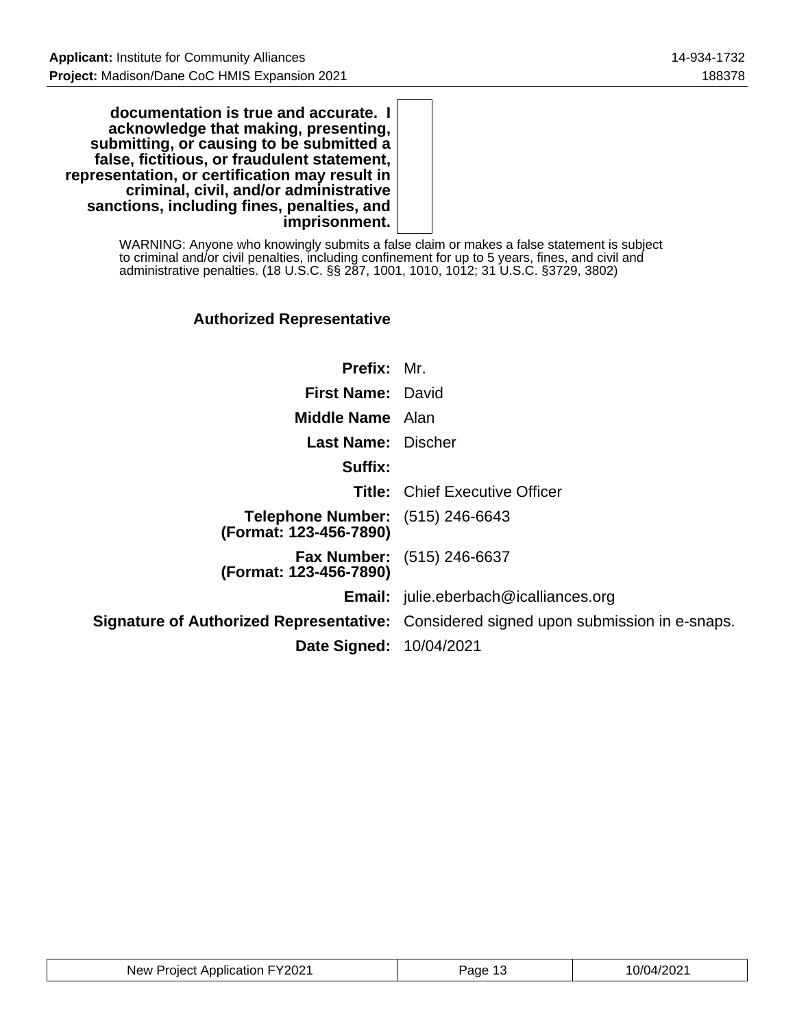**documentation is true and accurate. I acknowledge that making, presenting, submitting, or causing to be submitted a false, fictitious, or fraudulent statement, representation, or certification may result in criminal, civil, and/or administrative sanctions, including fines, penalties, and imprisonment.**

> WARNING: Anyone who knowingly submits a false claim or makes a false statement is subject to criminal and/or civil penalties, including confinement for up to 5 years, fines, and civil and administrative penalties. (18 U.S.C. §§ 287, 1001, 1010, 1012; 31 U.S.C. §3729, 3802)

### **Authorized Representative**

| Prefix: Mr.                                                       |                                                                                              |
|-------------------------------------------------------------------|----------------------------------------------------------------------------------------------|
| <b>First Name: David</b>                                          |                                                                                              |
| <b>Middle Name</b> Alan                                           |                                                                                              |
| <b>Last Name: Discher</b>                                         |                                                                                              |
| Suffix:                                                           |                                                                                              |
|                                                                   | <b>Title:</b> Chief Executive Officer                                                        |
| <b>Telephone Number:</b> (515) 246-6643<br>(Format: 123-456-7890) |                                                                                              |
| (Format: 123-456-7890)                                            | <b>Fax Number:</b> (515) 246-6637                                                            |
|                                                                   | <b>Email:</b> julie.eberbach@icalliances.org                                                 |
|                                                                   | <b>Signature of Authorized Representative:</b> Considered signed upon submission in e-snaps. |
| Date Signed: 10/04/2021                                           |                                                                                              |

| New Project Application FY2021 | Page 13 | 10/04/2021 |
|--------------------------------|---------|------------|
|--------------------------------|---------|------------|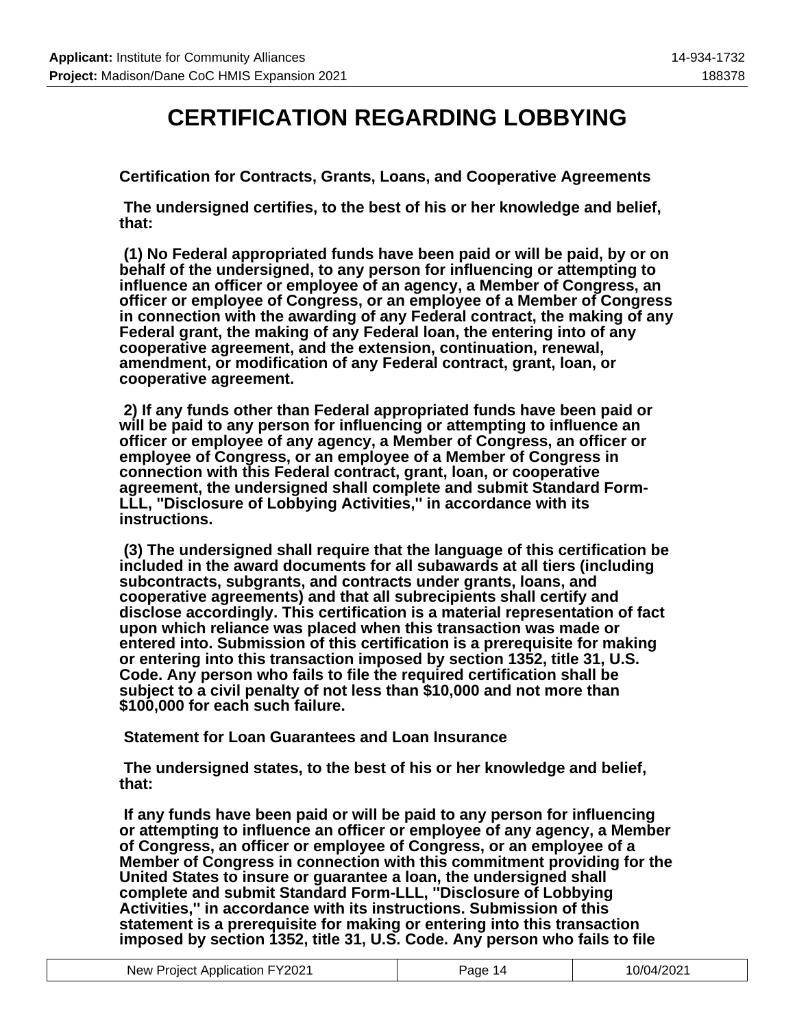# **CERTIFICATION REGARDING LOBBYING**

**Certification for Contracts, Grants, Loans, and Cooperative Agreements**

 **The undersigned certifies, to the best of his or her knowledge and belief, that:**

 **(1) No Federal appropriated funds have been paid or will be paid, by or on behalf of the undersigned, to any person for influencing or attempting to influence an officer or employee of an agency, a Member of Congress, an officer or employee of Congress, or an employee of a Member of Congress in connection with the awarding of any Federal contract, the making of any Federal grant, the making of any Federal loan, the entering into of any cooperative agreement, and the extension, continuation, renewal, amendment, or modification of any Federal contract, grant, loan, or cooperative agreement.**

 **2) If any funds other than Federal appropriated funds have been paid or will be paid to any person for influencing or attempting to influence an officer or employee of any agency, a Member of Congress, an officer or employee of Congress, or an employee of a Member of Congress in connection with this Federal contract, grant, loan, or cooperative agreement, the undersigned shall complete and submit Standard Form-LLL, ''Disclosure of Lobbying Activities,'' in accordance with its instructions.**

 **(3) The undersigned shall require that the language of this certification be included in the award documents for all subawards at all tiers (including subcontracts, subgrants, and contracts under grants, loans, and cooperative agreements) and that all subrecipients shall certify and disclose accordingly. This certification is a material representation of fact upon which reliance was placed when this transaction was made or entered into. Submission of this certification is a prerequisite for making or entering into this transaction imposed by section 1352, title 31, U.S. Code. Any person who fails to file the required certification shall be subject to a civil penalty of not less than \$10,000 and not more than \$100,000 for each such failure.**

 **Statement for Loan Guarantees and Loan Insurance**

 **The undersigned states, to the best of his or her knowledge and belief, that:**

 **If any funds have been paid or will be paid to any person for influencing or attempting to influence an officer or employee of any agency, a Member of Congress, an officer or employee of Congress, or an employee of a Member of Congress in connection with this commitment providing for the United States to insure or guarantee a loan, the undersigned shall complete and submit Standard Form-LLL, ''Disclosure of Lobbying Activities,'' in accordance with its instructions. Submission of this statement is a prerequisite for making or entering into this transaction imposed by section 1352, title 31, U.S. Code. Any person who fails to file**

| New Project Application FY2021 | Page 14 | 10/04/2021 |
|--------------------------------|---------|------------|
|--------------------------------|---------|------------|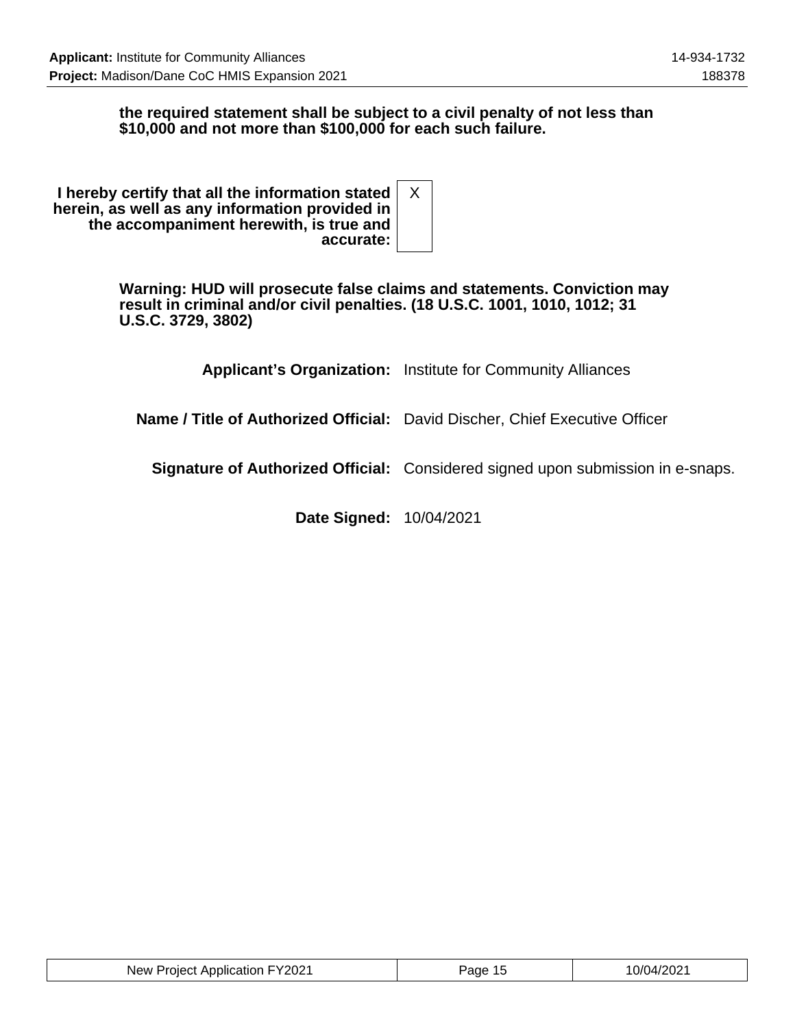### **the required statement shall be subject to a civil penalty of not less than \$10,000 and not more than \$100,000 for each such failure.**

**I hereby certify that all the information stated herein, as well as any information provided in the accompaniment herewith, is true and accurate:** X

> **Warning: HUD will prosecute false claims and statements. Conviction may result in criminal and/or civil penalties. (18 U.S.C. 1001, 1010, 1012; 31 U.S.C. 3729, 3802)**

> > **Applicant's Organization:** Institute for Community Alliances

**Name / Title of Authorized Official:** David Discher, Chief Executive Officer

**Signature of Authorized Official:** Considered signed upon submission in e-snaps.

**Date Signed:** 10/04/2021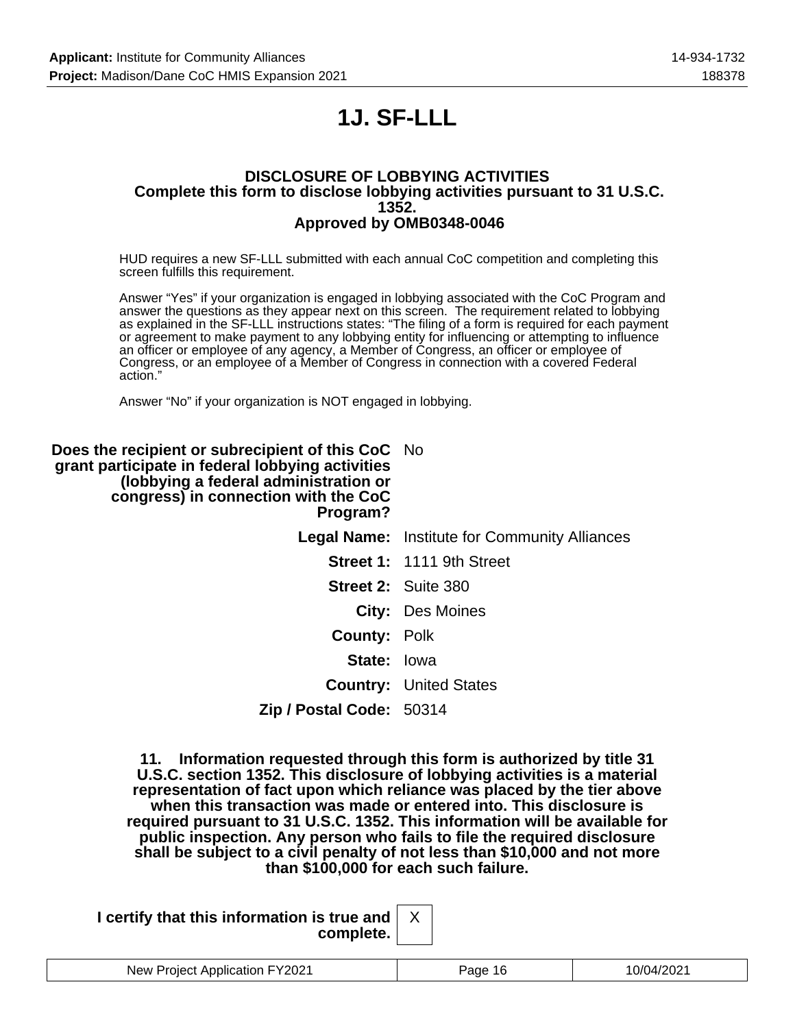# **1J. SF-LLL**

#### **DISCLOSURE OF LOBBYING ACTIVITIES Complete this form to disclose lobbying activities pursuant to 31 U.S.C. 1352. Approved by OMB0348-0046**

HUD requires a new SF-LLL submitted with each annual CoC competition and completing this screen fulfills this requirement.

Answer "Yes" if your organization is engaged in lobbying associated with the CoC Program and answer the questions as they appear next on this screen. The requirement related to lobbying as explained in the SF-LLL instructions states: "The filing of a form is required for each payment or agreement to make payment to any lobbying entity for influencing or attempting to influence an officer or employee of any agency, a Member of Congress, an officer or employee of Congress, or an employee of a Member of Congress in connection with a covered Federal action."

Answer "No" if your organization is NOT engaged in lobbying.

**Does the recipient or subrecipient of this CoC** No **grant participate in federal lobbying activities (lobbying a federal administration or congress) in connection with the CoC Program? Legal Name:** Institute for Community Alliances **Street 1:** 1111 9th Street **Street 2:** Suite 380 **City:** Des Moines **County:** Polk **State:** Iowa **Country:** United States **Zip / Postal Code:** 50314

> **11. Information requested through this form is authorized by title 31 U.S.C. section 1352. This disclosure of lobbying activities is a material representation of fact upon which reliance was placed by the tier above when this transaction was made or entered into. This disclosure is required pursuant to 31 U.S.C. 1352. This information will be available for public inspection. Any person who fails to file the required disclosure shall be subject to a civil penalty of not less than \$10,000 and not more than \$100,000 for each such failure.**

**I certify that this information is true and complete.**

| lication FY2021<br>Project<br>New.<br>ADDIIC. | aue | <br>ıл |
|-----------------------------------------------|-----|--------|
|                                               |     |        |

X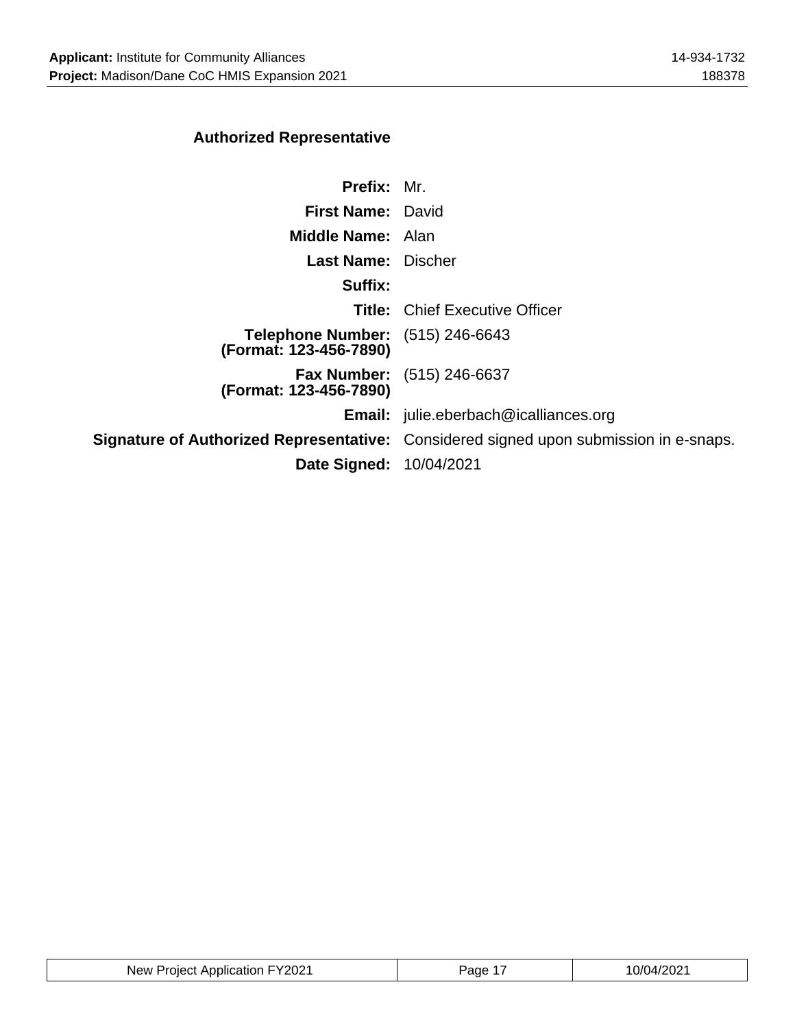# **Authorized Representative**

| Prefix: Mr.                                                       |                                                                                              |
|-------------------------------------------------------------------|----------------------------------------------------------------------------------------------|
| <b>First Name: David</b>                                          |                                                                                              |
| Middle Name: Alan                                                 |                                                                                              |
| <b>Last Name: Discher</b>                                         |                                                                                              |
| Suffix:                                                           |                                                                                              |
|                                                                   | <b>Title:</b> Chief Executive Officer                                                        |
| <b>Telephone Number:</b> (515) 246-6643<br>(Format: 123-456-7890) |                                                                                              |
| (Format: 123-456-7890)                                            | <b>Fax Number:</b> (515) 246-6637                                                            |
|                                                                   | <b>Email:</b> julie.eberbach@icalliances.org                                                 |
|                                                                   | <b>Signature of Authorized Representative:</b> Considered signed upon submission in e-snaps. |
| <b>Date Signed: 10/04/2021</b>                                    |                                                                                              |
|                                                                   |                                                                                              |

| ان المست<br>New<br>ADDIICATION<br>OIACT | aue | ∍רז<br>7. V J 2 |
|-----------------------------------------|-----|-----------------|
|-----------------------------------------|-----|-----------------|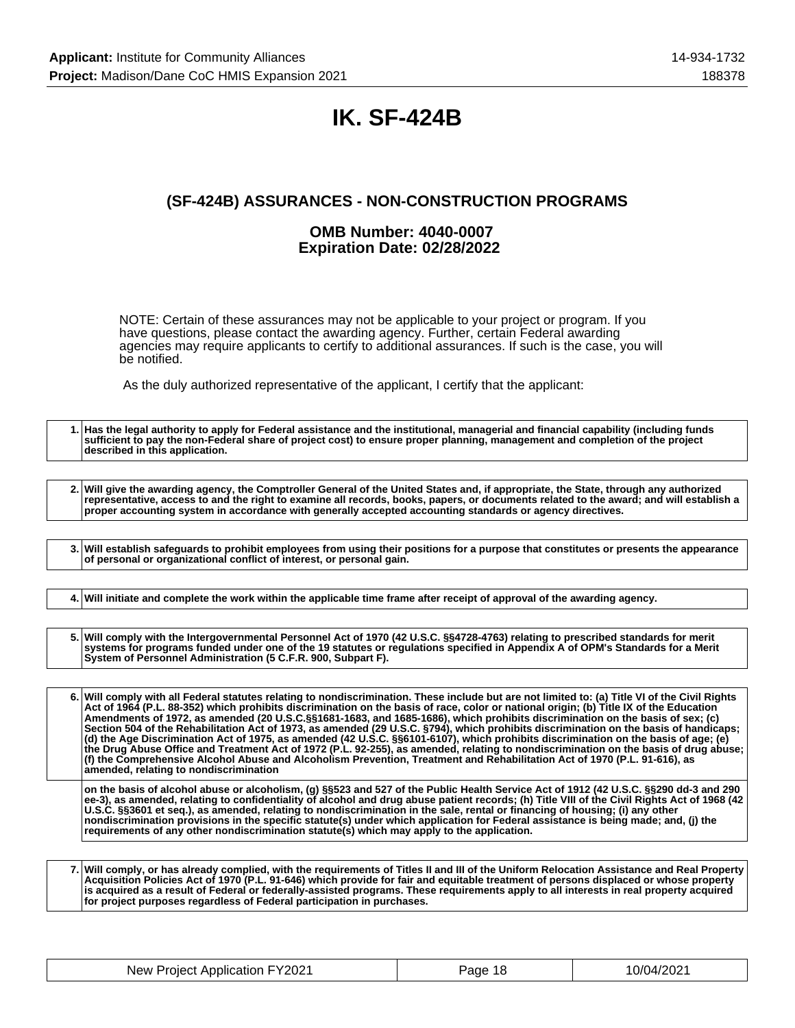# **IK. SF-424B**

### **(SF-424B) ASSURANCES - NON-CONSTRUCTION PROGRAMS**

#### **OMB Number: 4040-0007 Expiration Date: 02/28/2022**

NOTE: Certain of these assurances may not be applicable to your project or program. If you have questions, please contact the awarding agency. Further, certain Federal awarding agencies may require applicants to certify to additional assurances. If such is the case, you will be notified.

As the duly authorized representative of the applicant, I certify that the applicant:

**1. Has the legal authority to apply for Federal assistance and the institutional, managerial and financial capability (including funds sufficient to pay the non-Federal share of project cost) to ensure proper planning, management and completion of the project described in this application.**

**2. Will give the awarding agency, the Comptroller General of the United States and, if appropriate, the State, through any authorized representative, access to and the right to examine all records, books, papers, or documents related to the award; and will establish a proper accounting system in accordance with generally accepted accounting standards or agency directives.**

**3. Will establish safeguards to prohibit employees from using their positions for a purpose that constitutes or presents the appearance of personal or organizational conflict of interest, or personal gain.**

**4. Will initiate and complete the work within the applicable time frame after receipt of approval of the awarding agency.**

**5. Will comply with the Intergovernmental Personnel Act of 1970 (42 U.S.C. §§4728-4763) relating to prescribed standards for merit systems for programs funded under one of the 19 statutes or regulations specified in Appendix A of OPM's Standards for a Merit System of Personnel Administration (5 C.F.R. 900, Subpart F).**

**6. Will comply with all Federal statutes relating to nondiscrimination. These include but are not limited to: (a) Title VI of the Civil Rights Act of 1964 (P.L. 88-352) which prohibits discrimination on the basis of race, color or national origin; (b) Title IX of the Education Amendments of 1972, as amended (20 U.S.C.§§1681-1683, and 1685-1686), which prohibits discrimination on the basis of sex; (c) Section 504 of the Rehabilitation Act of 1973, as amended (29 U.S.C. §794), which prohibits discrimination on the basis of handicaps; (d) the Age Discrimination Act of 1975, as amended (42 U.S.C. §§6101-6107), which prohibits discrimination on the basis of age; (e) the Drug Abuse Office and Treatment Act of 1972 (P.L. 92-255), as amended, relating to nondiscrimination on the basis of drug abuse; (f) the Comprehensive Alcohol Abuse and Alcoholism Prevention, Treatment and Rehabilitation Act of 1970 (P.L. 91-616), as amended, relating to nondiscrimination**

**on the basis of alcohol abuse or alcoholism, (g) §§523 and 527 of the Public Health Service Act of 1912 (42 U.S.C. §§290 dd-3 and 290 ee-3), as amended, relating to confidentiality of alcohol and drug abuse patient records; (h) Title VIII of the Civil Rights Act of 1968 (42 U.S.C. §§3601 et seq.), as amended, relating to nondiscrimination in the sale, rental or financing of housing; (i) any other nondiscrimination provisions in the specific statute(s) under which application for Federal assistance is being made; and, (j) the requirements of any other nondiscrimination statute(s) which may apply to the application.**

**7. Will comply, or has already complied, with the requirements of Titles II and III of the Uniform Relocation Assistance and Real Property Acquisition Policies Act of 1970 (P.L. 91-646) which provide for fair and equitable treatment of persons displaced or whose property is acquired as a result of Federal or federally-assisted programs. These requirements apply to all interests in real property acquired for project purposes regardless of Federal participation in purchases.**

| New Project Application FY2021 | Page 18 | 10/04/2021 |
|--------------------------------|---------|------------|
|--------------------------------|---------|------------|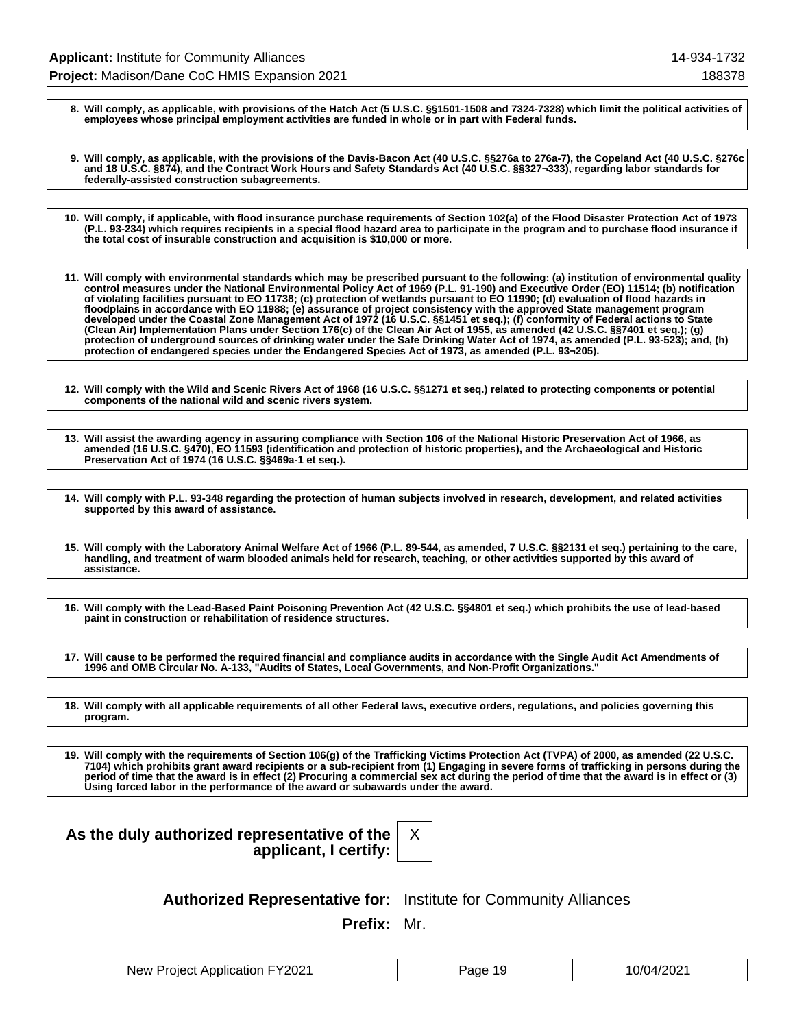**8. Will comply, as applicable, with provisions of the Hatch Act (5 U.S.C. §§1501-1508 and 7324-7328) which limit the political activities of employees whose principal employment activities are funded in whole or in part with Federal funds.**

**9. Will comply, as applicable, with the provisions of the Davis-Bacon Act (40 U.S.C. §§276a to 276a-7), the Copeland Act (40 U.S.C. §276c and 18 U.S.C. §874), and the Contract Work Hours and Safety Standards Act (40 U.S.C. §§327¬333), regarding labor standards for federally-assisted construction subagreements.**

**10. Will comply, if applicable, with flood insurance purchase requirements of Section 102(a) of the Flood Disaster Protection Act of 1973 (P.L. 93-234) which requires recipients in a special flood hazard area to participate in the program and to purchase flood insurance if the total cost of insurable construction and acquisition is \$10,000 or more.**

**11. Will comply with environmental standards which may be prescribed pursuant to the following: (a) institution of environmental quality control measures under the National Environmental Policy Act of 1969 (P.L. 91-190) and Executive Order (EO) 11514; (b) notification of violating facilities pursuant to EO 11738; (c) protection of wetlands pursuant to EO 11990; (d) evaluation of flood hazards in floodplains in accordance with EO 11988; (e) assurance of project consistency with the approved State management program developed under the Coastal Zone Management Act of 1972 (16 U.S.C. §§1451 et seq.); (f) conformity of Federal actions to State (Clean Air) Implementation Plans under Section 176(c) of the Clean Air Act of 1955, as amended (42 U.S.C. §§7401 et seq.); (g) protection of underground sources of drinking water under the Safe Drinking Water Act of 1974, as amended (P.L. 93-523); and, (h) protection of endangered species under the Endangered Species Act of 1973, as amended (P.L. 93¬205).**

**12. Will comply with the Wild and Scenic Rivers Act of 1968 (16 U.S.C. §§1271 et seq.) related to protecting components or potential components of the national wild and scenic rivers system.**

**13. Will assist the awarding agency in assuring compliance with Section 106 of the National Historic Preservation Act of 1966, as amended (16 U.S.C. §470), EO 11593 (identification and protection of historic properties), and the Archaeological and Historic Preservation Act of 1974 (16 U.S.C. §§469a-1 et seq.).**

**14. Will comply with P.L. 93-348 regarding the protection of human subjects involved in research, development, and related activities supported by this award of assistance.**

**15. Will comply with the Laboratory Animal Welfare Act of 1966 (P.L. 89-544, as amended, 7 U.S.C. §§2131 et seq.) pertaining to the care, handling, and treatment of warm blooded animals held for research, teaching, or other activities supported by this award of assistance.**

**16. Will comply with the Lead-Based Paint Poisoning Prevention Act (42 U.S.C. §§4801 et seq.) which prohibits the use of lead-based paint in construction or rehabilitation of residence structures.**

**17. Will cause to be performed the required financial and compliance audits in accordance with the Single Audit Act Amendments of 1996 and OMB Circular No. A-133, "Audits of States, Local Governments, and Non-Profit Organizations."**

**18. Will comply with all applicable requirements of all other Federal laws, executive orders, regulations, and policies governing this program.**

**19. Will comply with the requirements of Section 106(g) of the Trafficking Victims Protection Act (TVPA) of 2000, as amended (22 U.S.C. 7104) which prohibits grant award recipients or a sub-recipient from (1) Engaging in severe forms of trafficking in persons during the period of time that the award is in effect (2) Procuring a commercial sex act during the period of time that the award is in effect or (3) Using forced labor in the performance of the award or subawards under the award.**

| As the duly authorized representative of the |                       |  |
|----------------------------------------------|-----------------------|--|
|                                              | applicant, I certify: |  |

X

**Authorized Representative for:** Institute for Community Alliances

**Prefix:** Mr.

| New Project Application FY2021 | Page 19 | 10/04/2021 |
|--------------------------------|---------|------------|
|--------------------------------|---------|------------|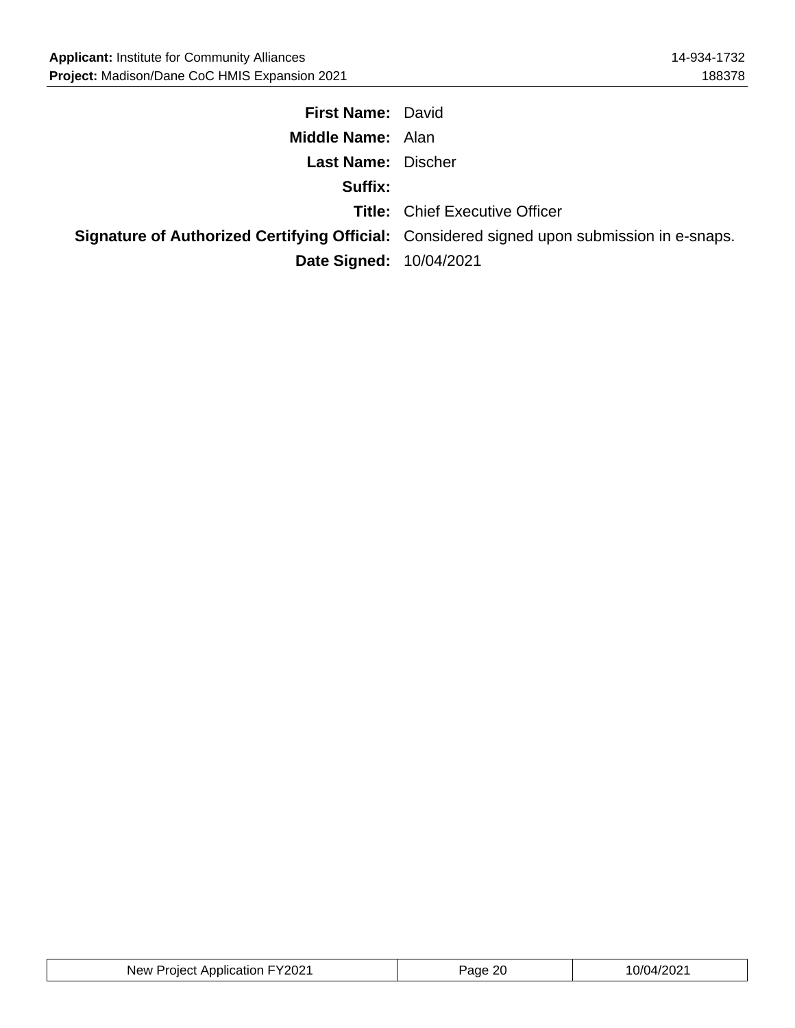| <b>First Name: David</b>       |                                                                                                   |
|--------------------------------|---------------------------------------------------------------------------------------------------|
| Middle Name: Alan              |                                                                                                   |
| <b>Last Name: Discher</b>      |                                                                                                   |
| Suffix:                        |                                                                                                   |
|                                | <b>Title: Chief Executive Officer</b>                                                             |
|                                | <b>Signature of Authorized Certifying Official:</b> Considered signed upon submission in e-snaps. |
| <b>Date Signed: 10/04/2021</b> |                                                                                                   |

| New Project Application FY2021 | Page 20 | 10/04/2021 |
|--------------------------------|---------|------------|
|--------------------------------|---------|------------|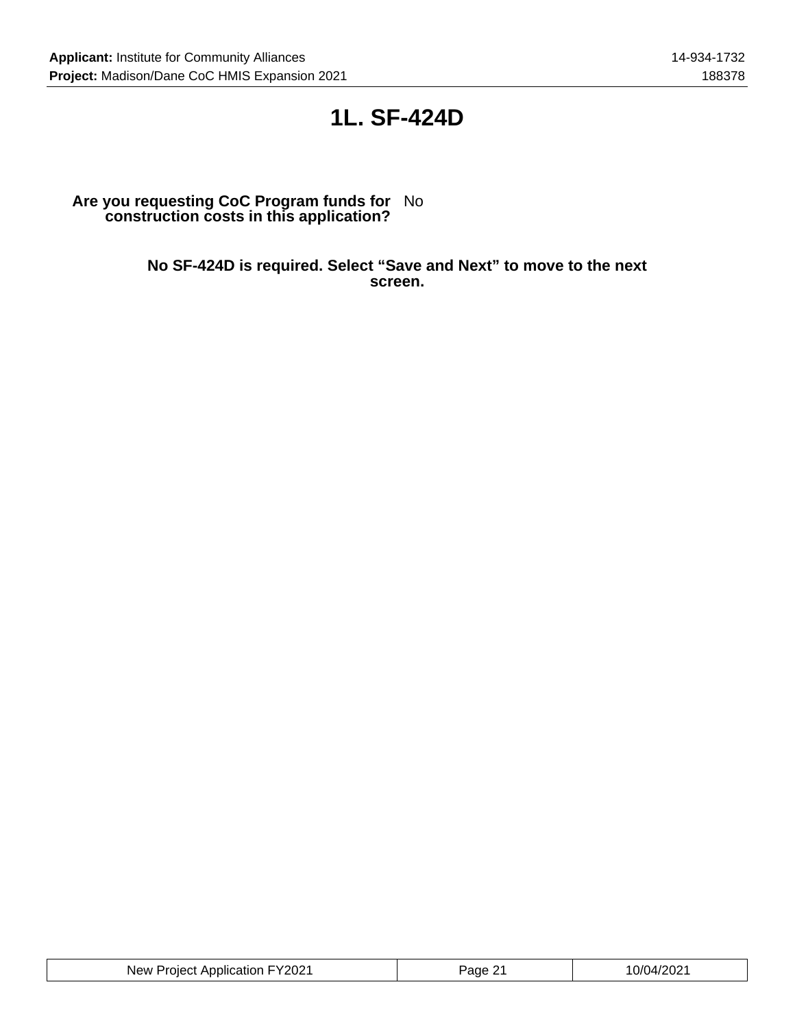# **1L. SF-424D**

#### **Are you requesting CoC Program funds for construction costs in this application?** No

**No SF-424D is required. Select "Save and Next" to move to the next screen.**

| New Project Application FY2021 | Page 21 | 10/04/2021 |
|--------------------------------|---------|------------|
|--------------------------------|---------|------------|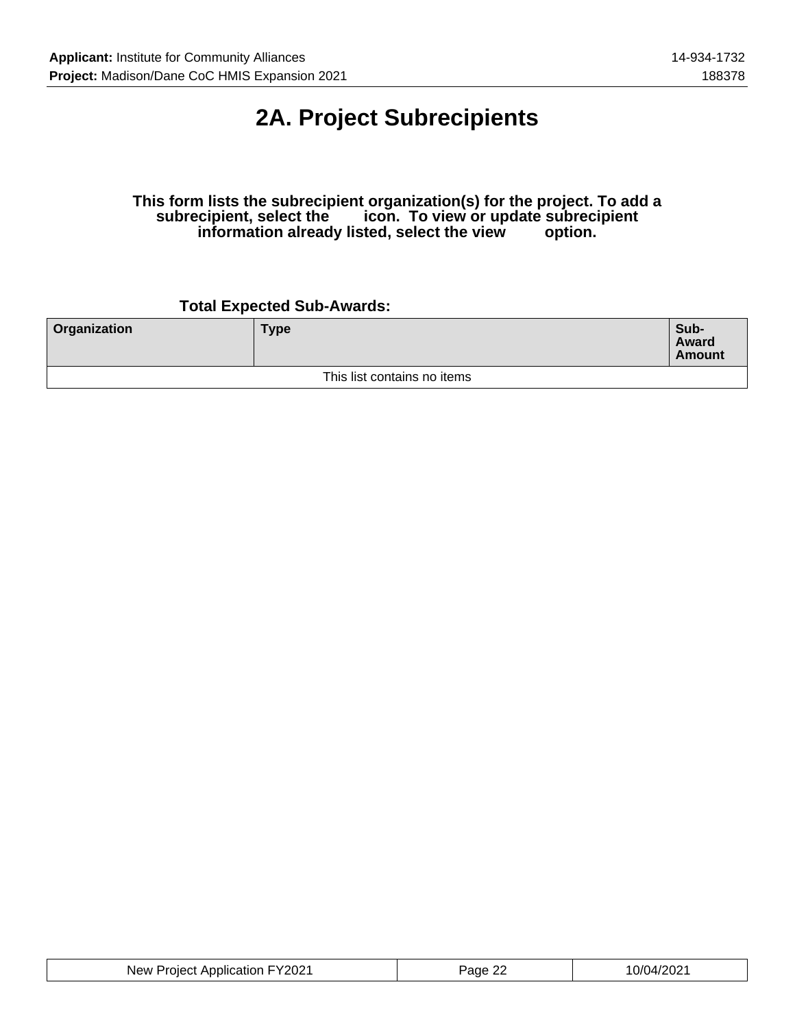# **2A. Project Subrecipients**

### **This form lists the subrecipient organization(s) for the project. To add a** icon. To view or update subrecipient<br>sted, select the view option. information already listed, select the view

### **Total Expected Sub-Awards:**

| <b>Organization</b> | <b>Type</b>                 | Sub-<br>Award<br><b>Amount</b> |
|---------------------|-----------------------------|--------------------------------|
|                     | This list contains no items |                                |

| New Project Application FY2021 | Page 22 | 10/04/2021 |
|--------------------------------|---------|------------|
|--------------------------------|---------|------------|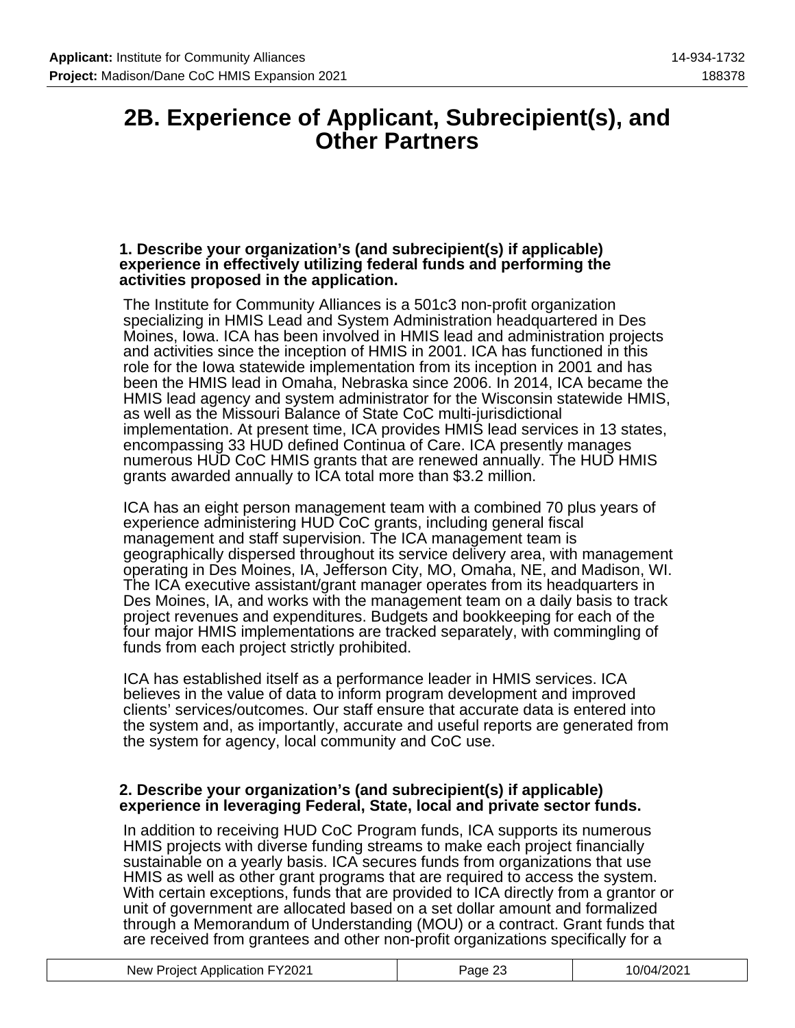# **2B. Experience of Applicant, Subrecipient(s), and Other Partners**

### **1. Describe your organization's (and subrecipient(s) if applicable) experience in effectively utilizing federal funds and performing the activities proposed in the application.**

The Institute for Community Alliances is a 501c3 non-profit organization specializing in HMIS Lead and System Administration headquartered in Des Moines, Iowa. ICA has been involved in HMIS lead and administration projects and activities since the inception of HMIS in 2001. ICA has functioned in this role for the Iowa statewide implementation from its inception in 2001 and has been the HMIS lead in Omaha, Nebraska since 2006. In 2014, ICA became the HMIS lead agency and system administrator for the Wisconsin statewide HMIS, as well as the Missouri Balance of State CoC multi-jurisdictional implementation. At present time, ICA provides HMIS lead services in 13 states, encompassing 33 HUD defined Continua of Care. ICA presently manages numerous HUD CoC HMIS grants that are renewed annually. The HUD HMIS grants awarded annually to ICA total more than \$3.2 million.

ICA has an eight person management team with a combined 70 plus years of experience administering HUD CoC grants, including general fiscal management and staff supervision. The ICA management team is geographically dispersed throughout its service delivery area, with management operating in Des Moines, IA, Jefferson City, MO, Omaha, NE, and Madison, WI. The ICA executive assistant/grant manager operates from its headquarters in Des Moines, IA, and works with the management team on a daily basis to track project revenues and expenditures. Budgets and bookkeeping for each of the four major HMIS implementations are tracked separately, with commingling of funds from each project strictly prohibited.

ICA has established itself as a performance leader in HMIS services. ICA believes in the value of data to inform program development and improved clients' services/outcomes. Our staff ensure that accurate data is entered into the system and, as importantly, accurate and useful reports are generated from the system for agency, local community and CoC use.

### **2. Describe your organization's (and subrecipient(s) if applicable) experience in leveraging Federal, State, local and private sector funds.**

In addition to receiving HUD CoC Program funds, ICA supports its numerous HMIS projects with diverse funding streams to make each project financially sustainable on a yearly basis. ICA secures funds from organizations that use HMIS as well as other grant programs that are required to access the system. With certain exceptions, funds that are provided to ICA directly from a grantor or unit of government are allocated based on a set dollar amount and formalized through a Memorandum of Understanding (MOU) or a contract. Grant funds that are received from grantees and other non-profit organizations specifically for a

| New Project Application FY2021 | $P$ age $2^{\circ}$ | 10/04/2021 |
|--------------------------------|---------------------|------------|
|                                |                     |            |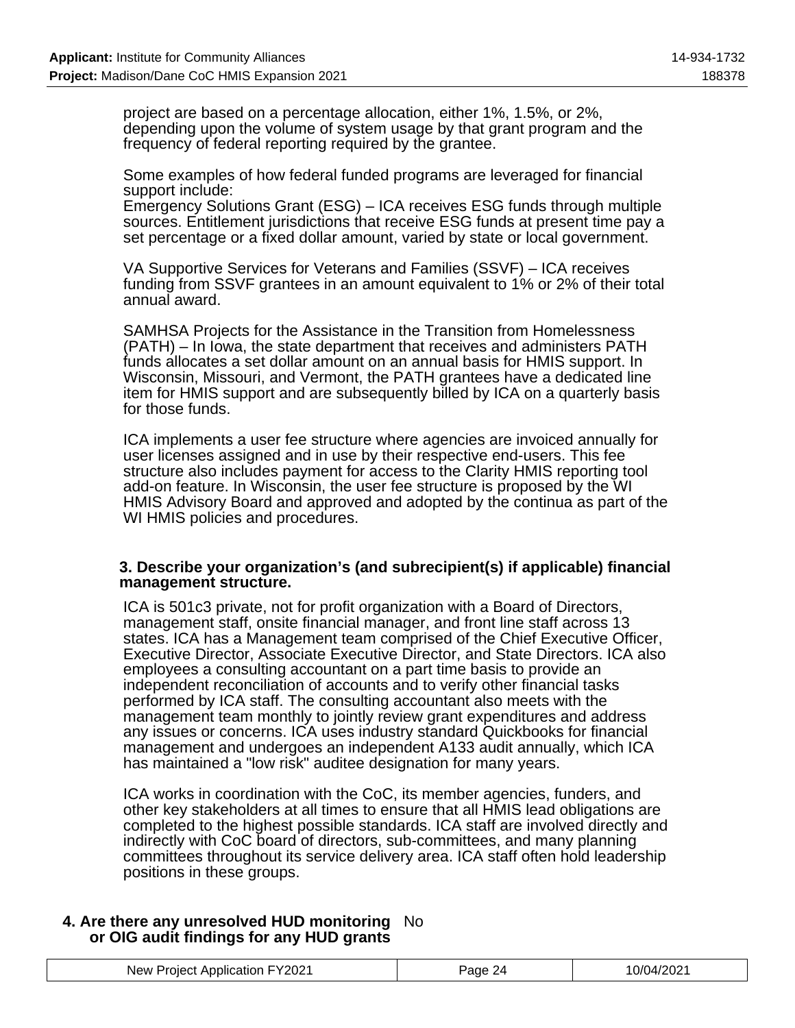project are based on a percentage allocation, either 1%, 1.5%, or 2%, depending upon the volume of system usage by that grant program and the frequency of federal reporting required by the grantee.

Some examples of how federal funded programs are leveraged for financial support include:

Emergency Solutions Grant (ESG) – ICA receives ESG funds through multiple sources. Entitlement jurisdictions that receive ESG funds at present time pay a set percentage or a fixed dollar amount, varied by state or local government.

VA Supportive Services for Veterans and Families (SSVF) – ICA receives funding from SSVF grantees in an amount equivalent to 1% or 2% of their total annual award.

SAMHSA Projects for the Assistance in the Transition from Homelessness (PATH) – In Iowa, the state department that receives and administers PATH funds allocates a set dollar amount on an annual basis for HMIS support. In Wisconsin, Missouri, and Vermont, the PATH grantees have a dedicated line item for HMIS support and are subsequently billed by ICA on a quarterly basis for those funds.

ICA implements a user fee structure where agencies are invoiced annually for user licenses assigned and in use by their respective end-users. This fee structure also includes payment for access to the Clarity HMIS reporting tool add-on feature. In Wisconsin, the user fee structure is proposed by the WI HMIS Advisory Board and approved and adopted by the continua as part of the WI HMIS policies and procedures.

### **3. Describe your organization's (and subrecipient(s) if applicable) financial management structure.**

ICA is 501c3 private, not for profit organization with a Board of Directors, management staff, onsite financial manager, and front line staff across 13 states. ICA has a Management team comprised of the Chief Executive Officer, Executive Director, Associate Executive Director, and State Directors. ICA also employees a consulting accountant on a part time basis to provide an independent reconciliation of accounts and to verify other financial tasks performed by ICA staff. The consulting accountant also meets with the management team monthly to jointly review grant expenditures and address any issues or concerns. ICA uses industry standard Quickbooks for financial management and undergoes an independent A133 audit annually, which ICA has maintained a "low risk" auditee designation for many years.

ICA works in coordination with the CoC, its member agencies, funders, and other key stakeholders at all times to ensure that all HMIS lead obligations are completed to the highest possible standards. ICA staff are involved directly and indirectly with CoC board of directors, sub-committees, and many planning committees throughout its service delivery area. ICA staff often hold leadership positions in these groups.

### **4. Are there any unresolved HUD monitoring** No **or OIG audit findings for any HUD grants**

| New Project Application FY2021 | Page 24 | 10/04/2021 |
|--------------------------------|---------|------------|
|--------------------------------|---------|------------|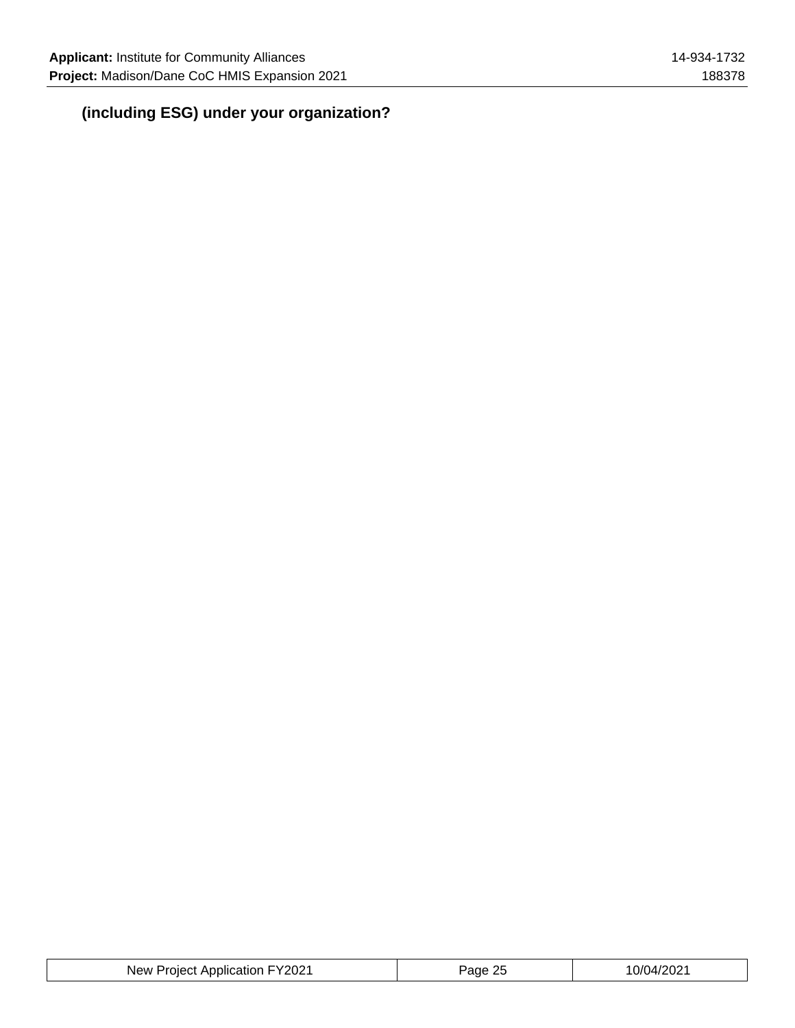### **(including ESG) under your organization?**

| TY2021<br>New<br>.:t Application *<br>uner.<br>. <b>.</b> <del>.</del> . | 711 | ے∪∠' |
|--------------------------------------------------------------------------|-----|------|
|--------------------------------------------------------------------------|-----|------|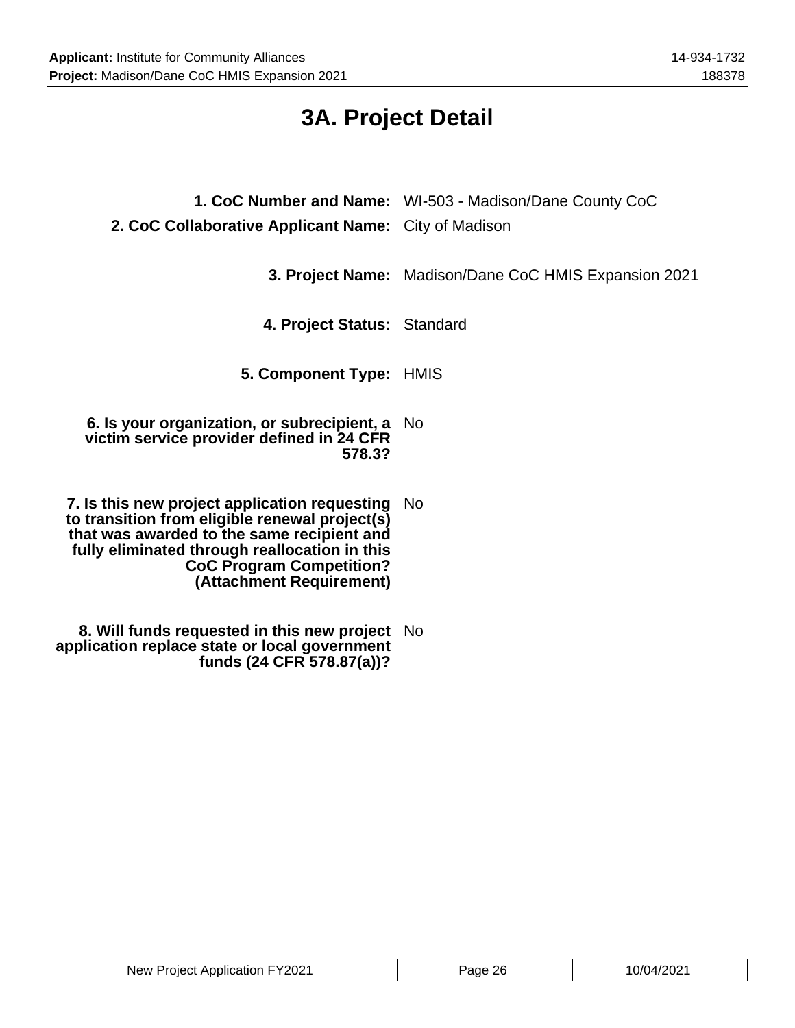**application replace state or local government**

**funds (24 CFR 578.87(a))?**

# **3A. Project Detail**

| 2. CoC Collaborative Applicant Name: City of Madison                                                                                                                                                                                                             | 1. CoC Number and Name: WI-503 - Madison/Dane County CoC |
|------------------------------------------------------------------------------------------------------------------------------------------------------------------------------------------------------------------------------------------------------------------|----------------------------------------------------------|
|                                                                                                                                                                                                                                                                  | 3. Project Name: Madison/Dane CoC HMIS Expansion 2021    |
| 4. Project Status: Standard                                                                                                                                                                                                                                      |                                                          |
| 5. Component Type: HMIS                                                                                                                                                                                                                                          |                                                          |
| 6. Is your organization, or subrecipient, a No<br>victim service provider defined in 24 CFR<br>578.3?                                                                                                                                                            |                                                          |
| 7. Is this new project application requesting No<br>to transition from eligible renewal project(s)<br>that was awarded to the same recipient and<br>fully eliminated through reallocation in this<br><b>CoC Program Competition?</b><br>(Attachment Requirement) |                                                          |
| 8. Will funds requested in this new project No                                                                                                                                                                                                                   |                                                          |

| New Project Application FY2021 | ጋፍ<br>ade. | 0/04/2021 |
|--------------------------------|------------|-----------|
|--------------------------------|------------|-----------|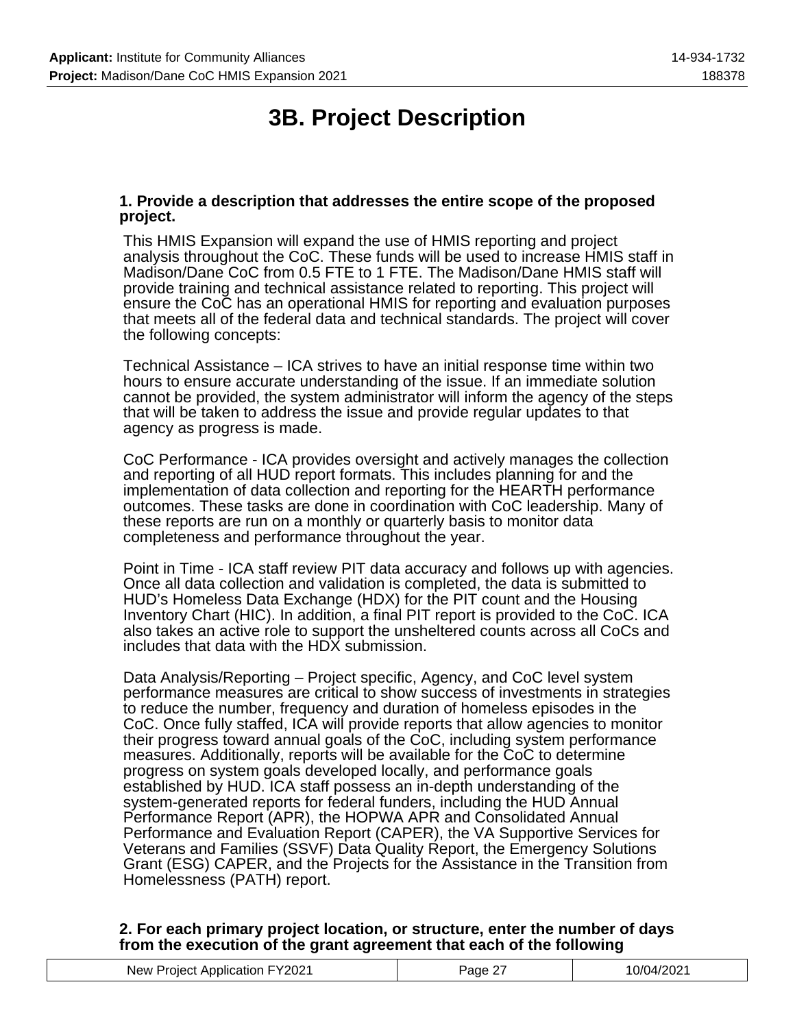# **3B. Project Description**

### **1. Provide a description that addresses the entire scope of the proposed project.**

This HMIS Expansion will expand the use of HMIS reporting and project analysis throughout the CoC. These funds will be used to increase HMIS staff in Madison/Dane CoC from 0.5 FTE to 1 FTE. The Madison/Dane HMIS staff will provide training and technical assistance related to reporting. This project will ensure the CoC has an operational HMIS for reporting and evaluation purposes that meets all of the federal data and technical standards. The project will cover the following concepts:

Technical Assistance – ICA strives to have an initial response time within two hours to ensure accurate understanding of the issue. If an immediate solution cannot be provided, the system administrator will inform the agency of the steps that will be taken to address the issue and provide regular updates to that agency as progress is made.

CoC Performance - ICA provides oversight and actively manages the collection and reporting of all HUD report formats. This includes planning for and the implementation of data collection and reporting for the HEARTH performance outcomes. These tasks are done in coordination with CoC leadership. Many of these reports are run on a monthly or quarterly basis to monitor data completeness and performance throughout the year.

Point in Time - ICA staff review PIT data accuracy and follows up with agencies. Once all data collection and validation is completed, the data is submitted to HUD's Homeless Data Exchange (HDX) for the PIT count and the Housing Inventory Chart (HIC). In addition, a final PIT report is provided to the CoC. ICA also takes an active role to support the unsheltered counts across all CoCs and includes that data with the HDX submission.

Data Analysis/Reporting – Project specific, Agency, and CoC level system performance measures are critical to show success of investments in strategies to reduce the number, frequency and duration of homeless episodes in the CoC. Once fully staffed, ICA will provide reports that allow agencies to monitor their progress toward annual goals of the CoC, including system performance measures. Additionally, reports will be available for the CoC to determine progress on system goals developed locally, and performance goals established by HUD. ICA staff possess an in-depth understanding of the system-generated reports for federal funders, including the HUD Annual Performance Report (APR), the HOPWA APR and Consolidated Annual Performance and Evaluation Report (CAPER), the VA Supportive Services for Veterans and Families (SSVF) Data Quality Report, the Emergency Solutions Grant (ESG) CAPER, and the Projects for the Assistance in the Transition from Homelessness (PATH) report.

### **2. For each primary project location, or structure, enter the number of days from the execution of the grant agreement that each of the following**

| New Project Application FY2021 | Page 2. | 0/04/2021 |
|--------------------------------|---------|-----------|
|--------------------------------|---------|-----------|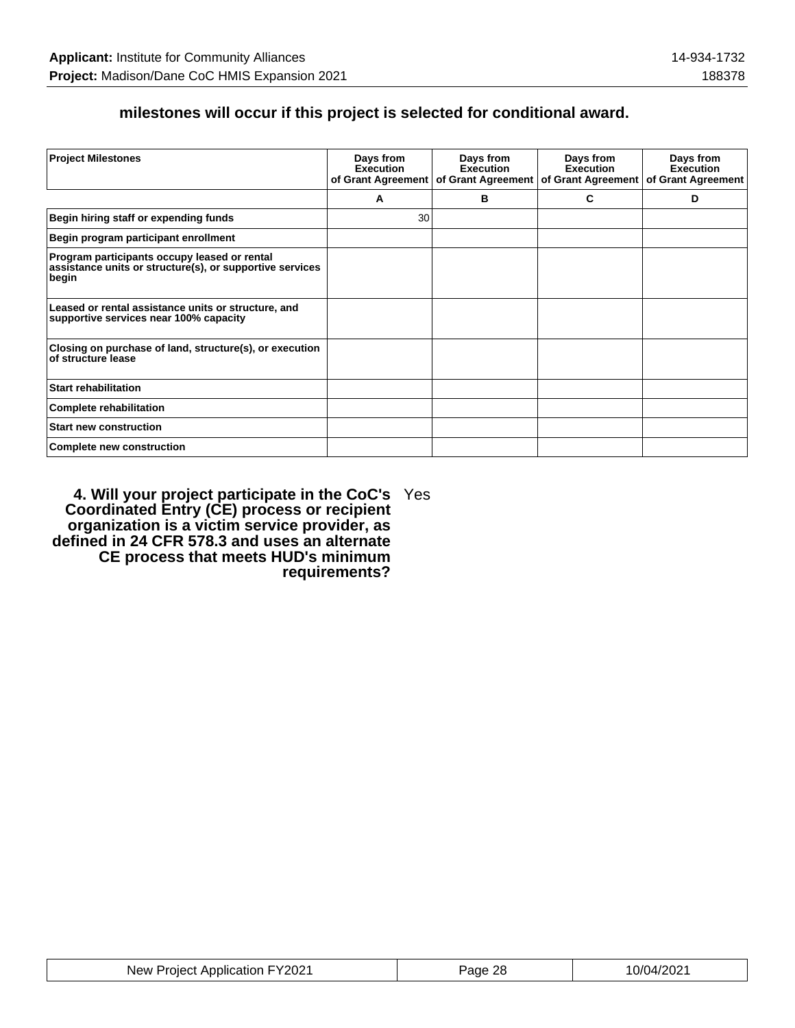### **milestones will occur if this project is selected for conditional award.**

| <b>Project Milestones</b>                                                                                         | Days from<br><b>Execution</b> | Days from<br><b>Execution</b><br>of Grant Agreement   of Grant Agreement | Days from<br><b>Execution</b><br>of Grant Agreement | Days from<br><b>Execution</b><br>of Grant Agreement |
|-------------------------------------------------------------------------------------------------------------------|-------------------------------|--------------------------------------------------------------------------|-----------------------------------------------------|-----------------------------------------------------|
|                                                                                                                   | А                             | в                                                                        | C                                                   | D                                                   |
| Begin hiring staff or expending funds                                                                             | 30                            |                                                                          |                                                     |                                                     |
| Begin program participant enrollment                                                                              |                               |                                                                          |                                                     |                                                     |
| Program participants occupy leased or rental<br>assistance units or structure(s), or supportive services<br>begin |                               |                                                                          |                                                     |                                                     |
| Leased or rental assistance units or structure, and<br>supportive services near 100% capacity                     |                               |                                                                          |                                                     |                                                     |
| Closing on purchase of land, structure(s), or execution<br>of structure lease                                     |                               |                                                                          |                                                     |                                                     |
| <b>Start rehabilitation</b>                                                                                       |                               |                                                                          |                                                     |                                                     |
| <b>Complete rehabilitation</b>                                                                                    |                               |                                                                          |                                                     |                                                     |
| <b>Start new construction</b>                                                                                     |                               |                                                                          |                                                     |                                                     |
| <b>Complete new construction</b>                                                                                  |                               |                                                                          |                                                     |                                                     |

**4. Will your project participate in the CoC's Coordinated Entry (CE) process or recipient organization is a victim service provider, as defined in 24 CFR 578.3 and uses an alternate CE process that meets HUD's minimum requirements?** Yes

| New Project Application FY2021 | 28<br>Page. | 10/04/2021 |
|--------------------------------|-------------|------------|
|--------------------------------|-------------|------------|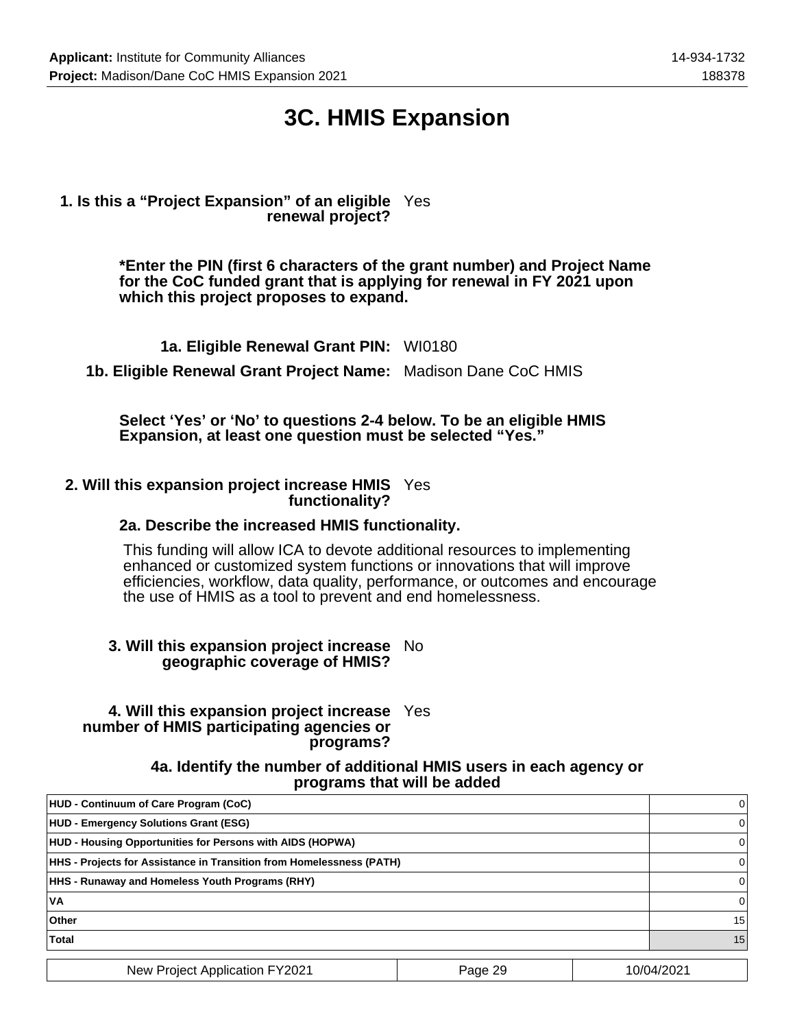# **3C. HMIS Expansion**

### **1. Is this a "Project Expansion" of an eligible** Yes **renewal project?**

**\*Enter the PIN (first 6 characters of the grant number) and Project Name for the CoC funded grant that is applying for renewal in FY 2021 upon which this project proposes to expand.**

**1a. Eligible Renewal Grant PIN:** WI0180

**1b. Eligible Renewal Grant Project Name:** Madison Dane CoC HMIS

**Select 'Yes' or 'No' to questions 2-4 below. To be an eligible HMIS Expansion, at least one question must be selected "Yes."**

#### **2. Will this expansion project increase HMIS** Yes **functionality?**

#### **2a. Describe the increased HMIS functionality.**

This funding will allow ICA to devote additional resources to implementing enhanced or customized system functions or innovations that will improve efficiencies, workflow, data quality, performance, or outcomes and encourage the use of HMIS as a tool to prevent and end homelessness.

### **3. Will this expansion project increase** No **geographic coverage of HMIS?**

#### **4. Will this expansion project increase** Yes **number of HMIS participating agencies or programs?**

**4a. Identify the number of additional HMIS users in each agency or programs that will be added**

| <b>HUD - Continuum of Care Program (CoC)</b>                         |         |  | 0          |
|----------------------------------------------------------------------|---------|--|------------|
| <b>HUD - Emergency Solutions Grant (ESG)</b>                         |         |  | 0          |
| <b>HUD - Housing Opportunities for Persons with AIDS (HOPWA)</b>     |         |  | 0          |
| HHS - Projects for Assistance in Transition from Homelessness (PATH) |         |  | 0          |
| <b>HHS - Runaway and Homeless Youth Programs (RHY)</b>               |         |  | 0          |
| VA                                                                   |         |  | 0          |
| Other                                                                |         |  | 15         |
| <b>Total</b>                                                         |         |  | 15         |
| <b>New Project Application FY2021</b>                                | Page 29 |  | 10/04/2021 |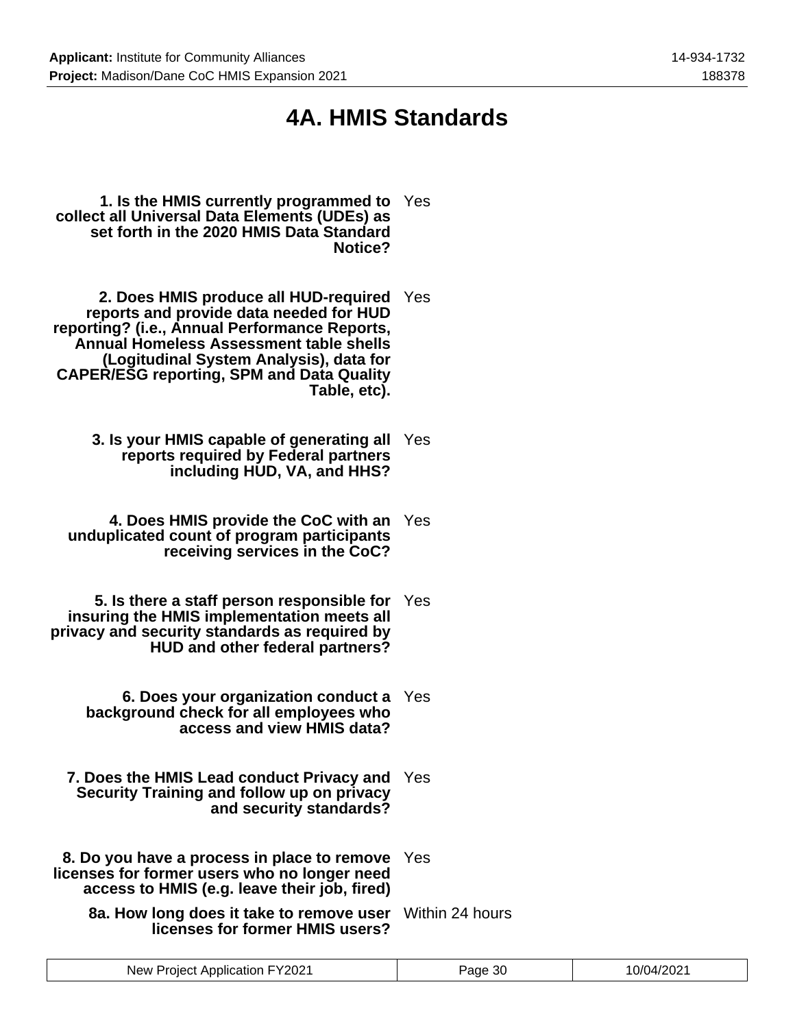# **4A. HMIS Standards**

- **1. Is the HMIS currently programmed to** Yes **collect all Universal Data Elements (UDEs) as set forth in the 2020 HMIS Data Standard Notice?**
- **2. Does HMIS produce all HUD-required** Yes **reports and provide data needed for HUD reporting? (i.e., Annual Performance Reports, Annual Homeless Assessment table shells (Logitudinal System Analysis), data for CAPER/ESG reporting, SPM and Data Quality Table, etc).**
	- **3. Is your HMIS capable of generating all** Yes **reports required by Federal partners including HUD, VA, and HHS?**
	- **4. Does HMIS provide the CoC with an** Yes **unduplicated count of program participants receiving services in the CoC?**
- **5. Is there a staff person responsible for insuring the HMIS implementation meets all privacy and security standards as required by HUD and other federal partners?** Yes
	- **6. Does your organization conduct a** Yes **background check for all employees who access and view HMIS data?**
	- **7. Does the HMIS Lead conduct Privacy and** Yes **Security Training and follow up on privacy and security standards?**
- **8. Do you have a process in place to remove** Yes **licenses for former users who no longer need access to HMIS (e.g. leave their job, fired)**
	- **8a. How long does it take to remove user licenses for former HMIS users?** Within 24 hours

| Vクハウィ<br>New<br>JODIJC.<br>ЭIЕ<br>ног<br>' ا~…<br>. | וכי<br>≀ane<br>- OU | м |
|-----------------------------------------------------|---------------------|---|
|                                                     |                     |   |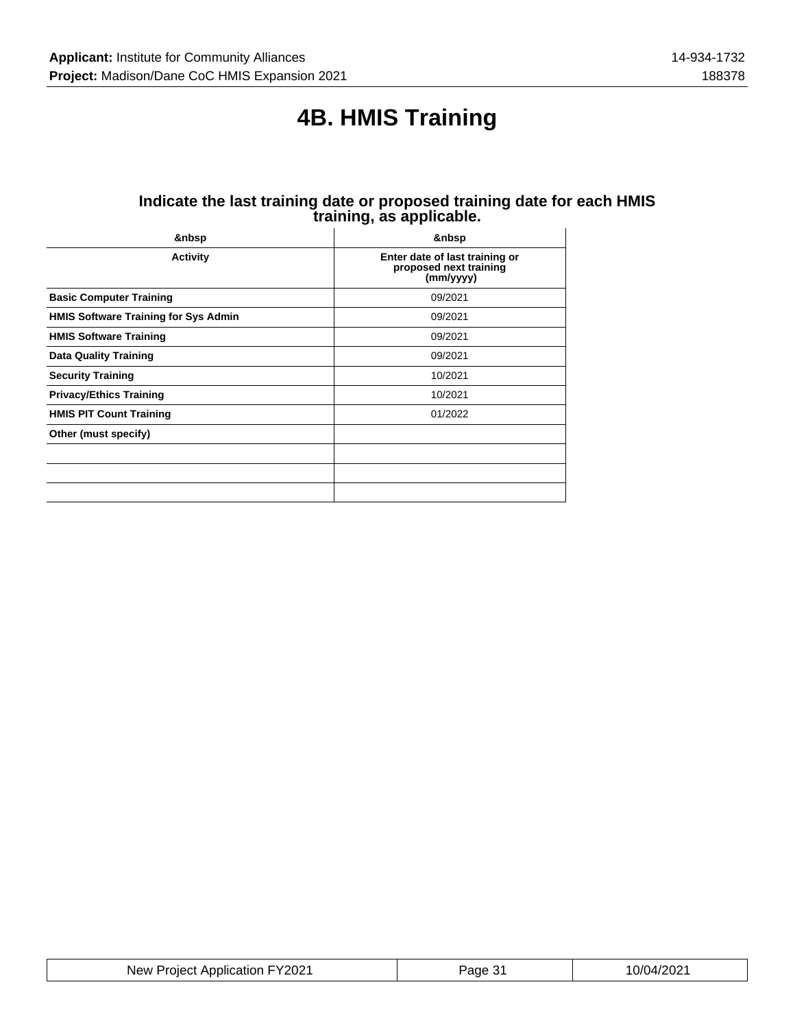# **4B. HMIS Training**

#### **Indicate the last training date or proposed training date for each HMIS training, as applicable.**  $\overline{1}$

| <b>Activity</b>                             | Enter date of last training or<br>proposed next training<br>(mm/yyyy) |
|---------------------------------------------|-----------------------------------------------------------------------|
| <b>Basic Computer Training</b>              | 09/2021                                                               |
| <b>HMIS Software Training for Sys Admin</b> | 09/2021                                                               |
| <b>HMIS Software Training</b>               | 09/2021                                                               |
| <b>Data Quality Training</b>                | 09/2021                                                               |
| <b>Security Training</b>                    | 10/2021                                                               |
| <b>Privacy/Ethics Training</b>              | 10/2021                                                               |
| <b>HMIS PIT Count Training</b>              | 01/2022                                                               |
| Other (must specify)                        |                                                                       |
|                                             |                                                                       |
|                                             |                                                                       |
|                                             |                                                                       |

| New Project Application FY2021 | Page 31 | 10/04/2021 |
|--------------------------------|---------|------------|
|--------------------------------|---------|------------|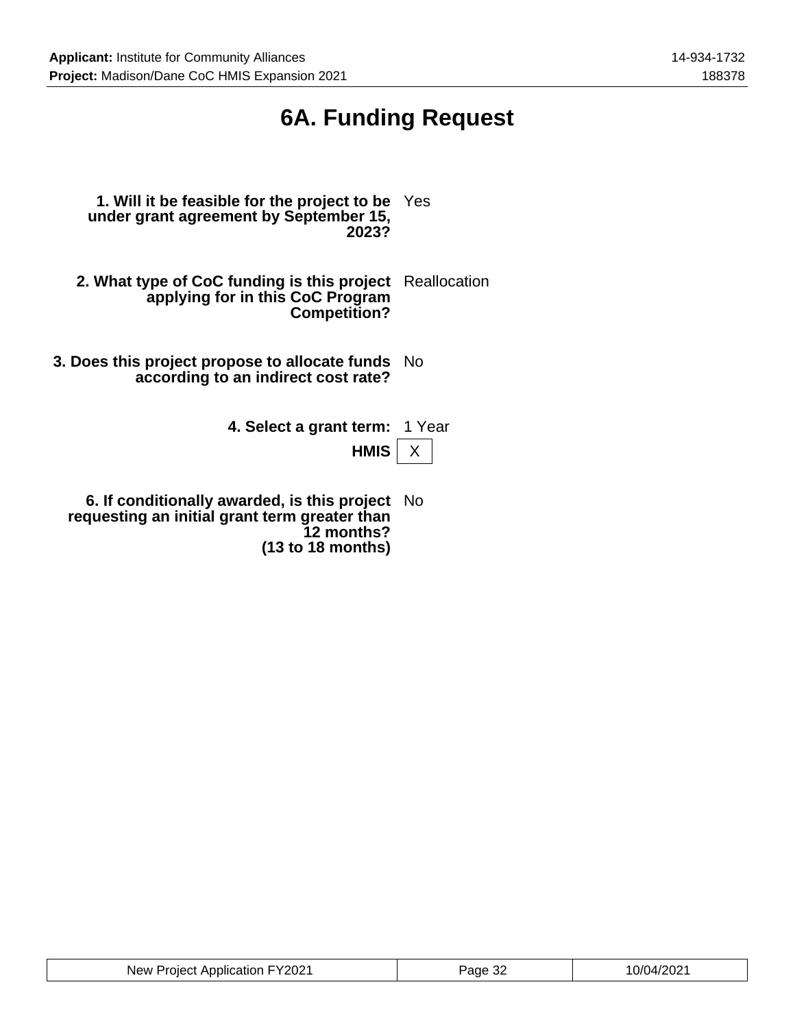# **6A. Funding Request**

- **1. Will it be feasible for the project to be** Yes **under grant agreement by September 15, 2023?**
- **2. What type of CoC funding is this project** Reallocation **applying for in this CoC Program Competition?**
- **3. Does this project propose to allocate funds** No **according to an indirect cost rate?**
	- **4. Select a grant term:** 1 Year

**HMIS**  $\times$ 

**6. If conditionally awarded, is this project** No **requesting an initial grant term greater than 12 months? (13 to 18 months)**

| New Project Application FY2021 | Page 32 | 10/04/2021 |
|--------------------------------|---------|------------|
|--------------------------------|---------|------------|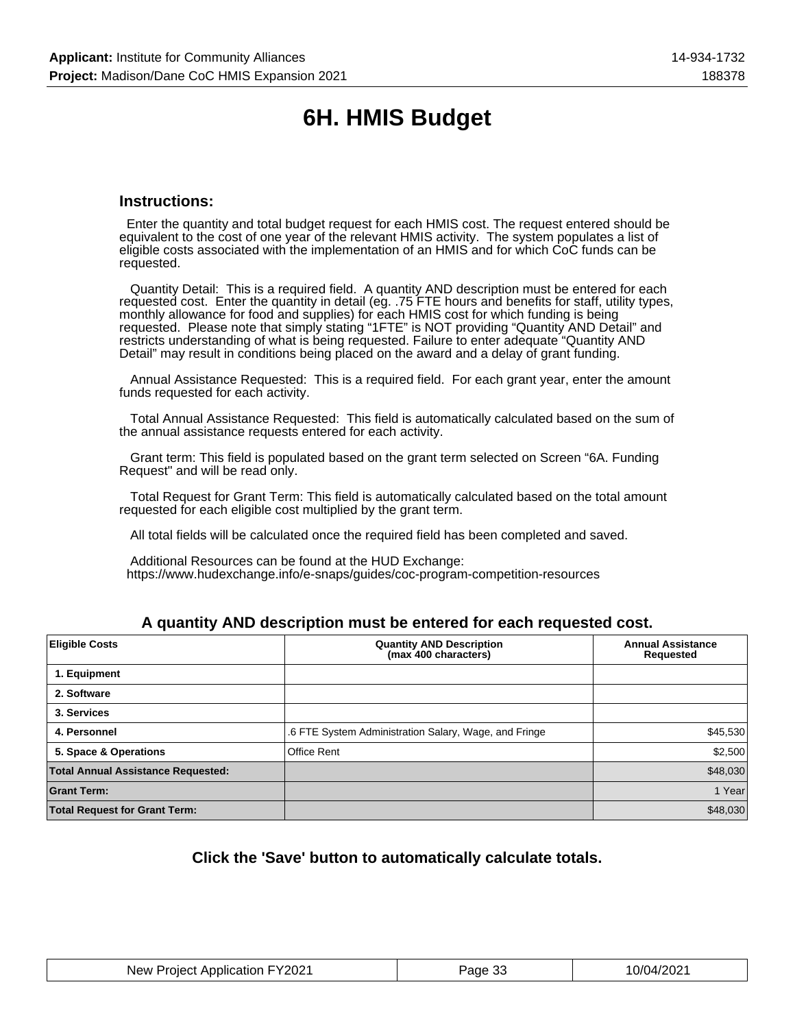# **6H. HMIS Budget**

#### **Instructions:**

 Enter the quantity and total budget request for each HMIS cost. The request entered should be equivalent to the cost of one year of the relevant HMIS activity. The system populates a list of eligible costs associated with the implementation of an HMIS and for which CoC funds can be requested.

 Quantity Detail: This is a required field. A quantity AND description must be entered for each requested cost. Enter the quantity in detail (eg. .75 FTE hours and benefits for staff, utility types, monthly allowance for food and supplies) for each HMIS cost for which funding is being requested. Please note that simply stating "1FTE" is NOT providing "Quantity AND Detail" and restricts understanding of what is being requested. Failure to enter adequate "Quantity AND Detail" may result in conditions being placed on the award and a delay of grant funding.

 Annual Assistance Requested: This is a required field. For each grant year, enter the amount funds requested for each activity.

 Total Annual Assistance Requested: This field is automatically calculated based on the sum of the annual assistance requests entered for each activity.

 Grant term: This field is populated based on the grant term selected on Screen "6A. Funding Request" and will be read only.

 Total Request for Grant Term: This field is automatically calculated based on the total amount requested for each eligible cost multiplied by the grant term.

All total fields will be calculated once the required field has been completed and saved.

 Additional Resources can be found at the HUD Exchange: https://www.hudexchange.info/e-snaps/guides/coc-program-competition-resources

#### **A quantity AND description must be entered for each requested cost.**

| <b>Eligible Costs</b>                     | <b>Quantity AND Description</b><br>(max 400 characters) | <b>Annual Assistance</b><br><b>Requested</b> |
|-------------------------------------------|---------------------------------------------------------|----------------------------------------------|
| 1. Equipment                              |                                                         |                                              |
| 2. Software                               |                                                         |                                              |
| 3. Services                               |                                                         |                                              |
| 4. Personnel                              | .6 FTE System Administration Salary, Wage, and Fringe   | \$45,530                                     |
| 5. Space & Operations                     | <b>Office Rent</b>                                      | \$2,500                                      |
| <b>Total Annual Assistance Requested:</b> |                                                         | \$48,030                                     |
| <b>Grant Term:</b>                        |                                                         | 1 Year                                       |
| <b>Total Request for Grant Term:</b>      |                                                         | \$48,030                                     |

### **Click the 'Save' button to automatically calculate totals.**

| New Project Application FY2021 | Page 33 | 10/04/2021 |
|--------------------------------|---------|------------|
|--------------------------------|---------|------------|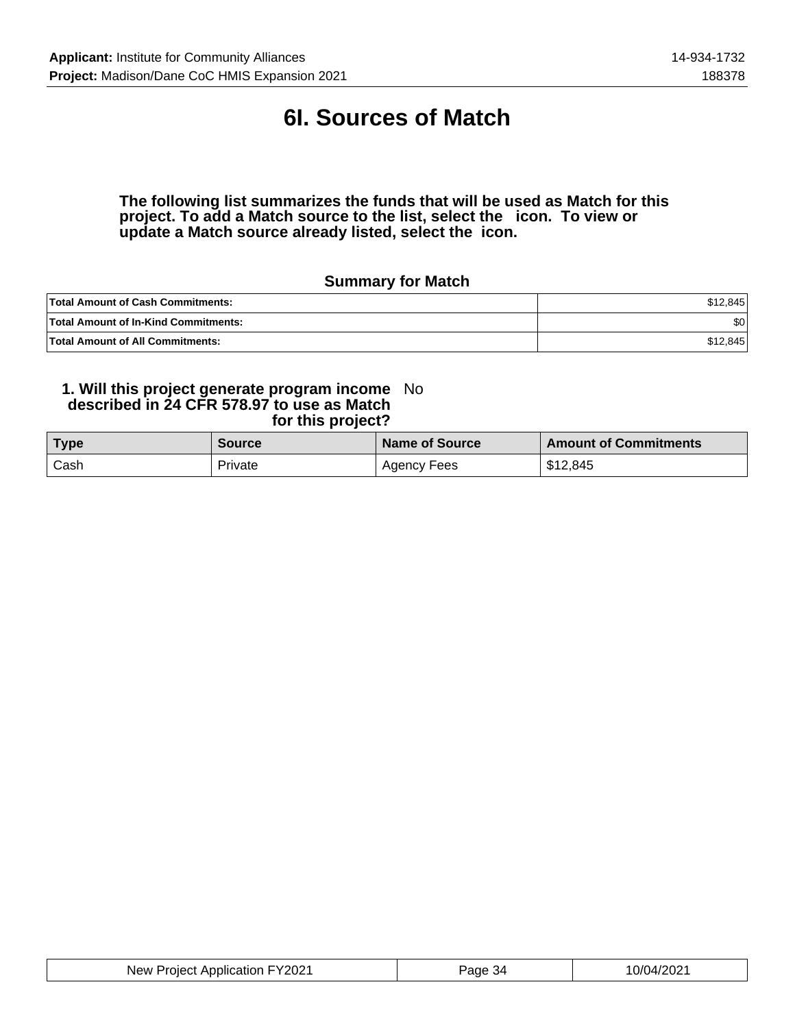# **6I. Sources of Match**

**The following list summarizes the funds that will be used as Match for this project. To add a Match source to the list, select the icon. To view or update a Match source already listed, select the icon.**

### **Summary for Match**

| <b>Total Amount of Cash Commitments:</b>    | \$12,845 |
|---------------------------------------------|----------|
| <b>Total Amount of In-Kind Commitments:</b> | \$0      |
| <b>Total Amount of All Commitments:</b>     | \$12,845 |

#### **1. Will this project generate program income described in 24 CFR 578.97 to use as Match for this project?** No

| <b>Type</b> | <b>Source</b> | Name of Source | <b>Amount of Commitments</b> |
|-------------|---------------|----------------|------------------------------|
| Cash        | Private       | Agency Fees    | \$12,845                     |

| New Project Application FY2021 | Page 34 | 10/04/2021 |
|--------------------------------|---------|------------|
|--------------------------------|---------|------------|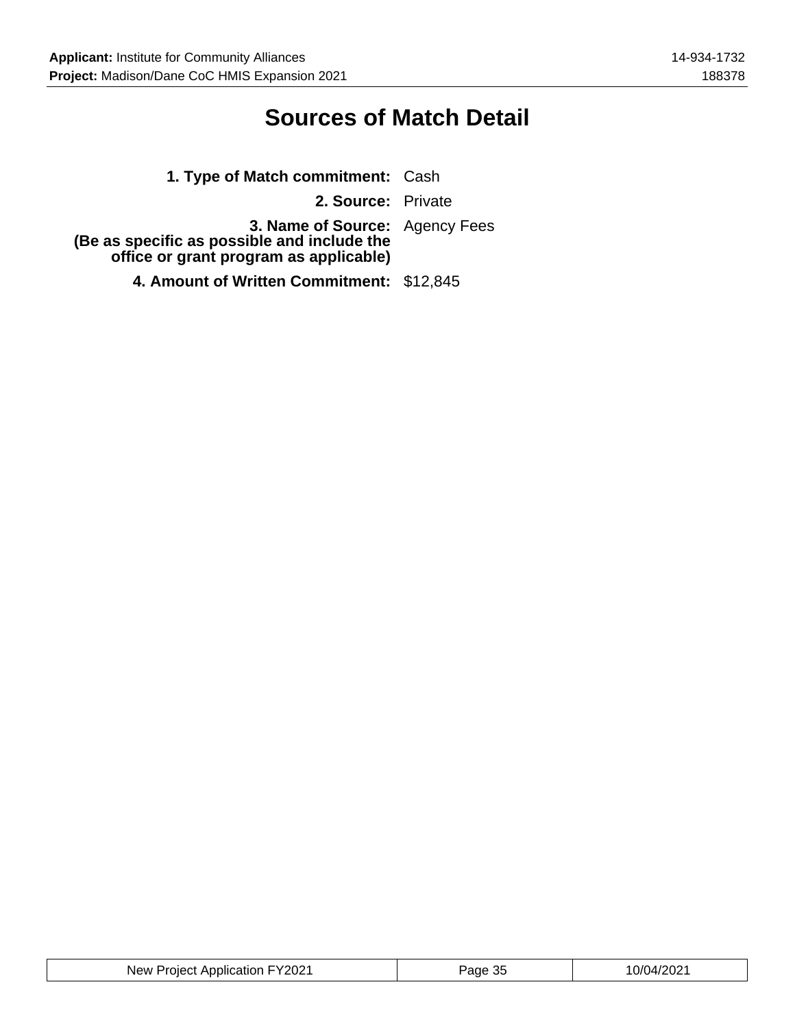# **Sources of Match Detail**

| 1. Type of Match commitment: Cash                                                                                       |  |
|-------------------------------------------------------------------------------------------------------------------------|--|
| 2. Source: Private                                                                                                      |  |
| 3. Name of Source: Agency Fees<br>(Be as specific as possible and include the<br>office or grant program as applicable) |  |
| 4. Amount of Written Commitment: \$12,845                                                                               |  |

| FY2021<br><b>New Project Application</b> | Page<br>ູບປ | 10/04/2021 |
|------------------------------------------|-------------|------------|
|------------------------------------------|-------------|------------|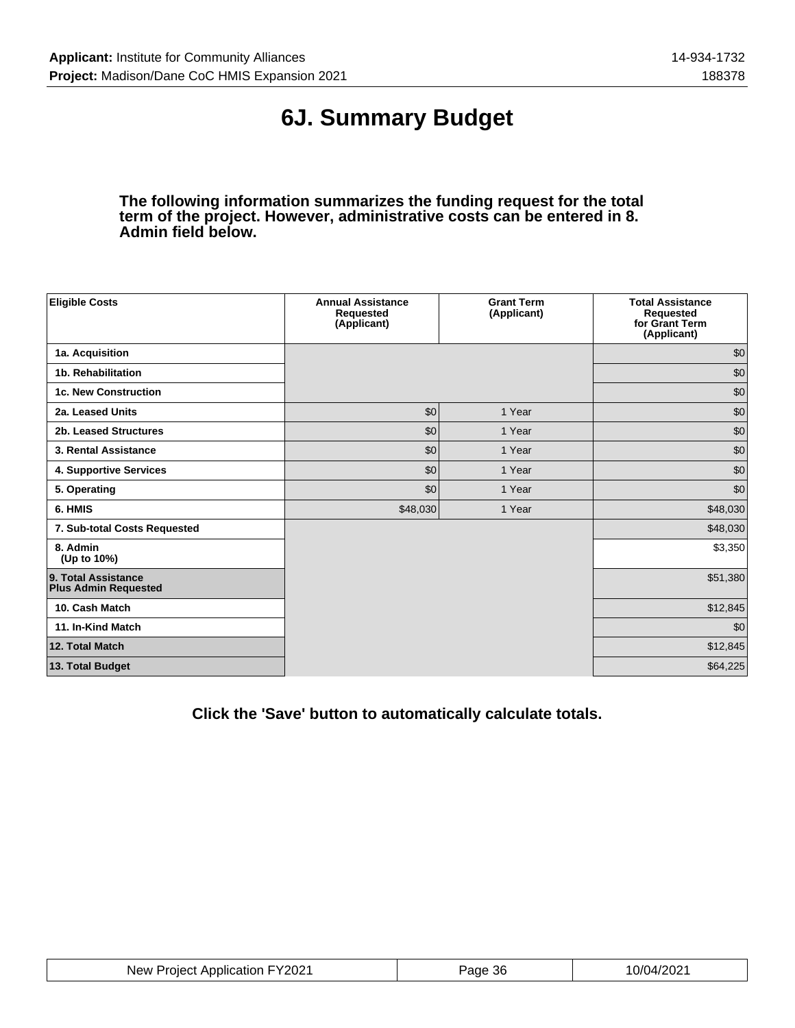# **6J. Summary Budget**

**The following information summarizes the funding request for the total term of the project. However, administrative costs can be entered in 8. Admin field below.**

| <b>Eligible Costs</b>                              | <b>Annual Assistance</b><br><b>Requested</b><br>(Applicant) | <b>Grant Term</b><br>(Applicant) | <b>Total Assistance</b><br>Requested<br>for Grant Term<br>(Applicant) |
|----------------------------------------------------|-------------------------------------------------------------|----------------------------------|-----------------------------------------------------------------------|
| 1a. Acquisition                                    |                                                             |                                  | \$0                                                                   |
| 1b. Rehabilitation                                 |                                                             |                                  | \$0                                                                   |
| <b>1c. New Construction</b>                        |                                                             |                                  | \$0                                                                   |
| 2a. Leased Units                                   | \$0                                                         | 1 Year                           | \$0                                                                   |
| <b>2b. Leased Structures</b>                       | \$0                                                         | 1 Year                           | \$0                                                                   |
| 3. Rental Assistance                               | \$0                                                         | 1 Year                           | \$0                                                                   |
| 4. Supportive Services                             | \$0                                                         | 1 Year                           | \$0                                                                   |
| 5. Operating                                       | \$0                                                         | 1 Year                           | \$0                                                                   |
| 6. HMIS                                            | \$48,030                                                    | 1 Year                           | \$48,030                                                              |
| 7. Sub-total Costs Requested                       |                                                             |                                  | \$48,030                                                              |
| 8. Admin<br>(Up to 10%)                            |                                                             |                                  | \$3,350                                                               |
| 9. Total Assistance<br><b>Plus Admin Requested</b> |                                                             |                                  | \$51,380                                                              |
| 10. Cash Match                                     |                                                             |                                  | \$12,845                                                              |
| 11. In-Kind Match                                  |                                                             |                                  | \$0                                                                   |
| 12. Total Match                                    |                                                             |                                  | \$12,845                                                              |
| 13. Total Budget                                   |                                                             |                                  | \$64,225                                                              |

**Click the 'Save' button to automatically calculate totals.**

| New Project Application FY2021 | Page 36 | 10/04/2021 |
|--------------------------------|---------|------------|
|--------------------------------|---------|------------|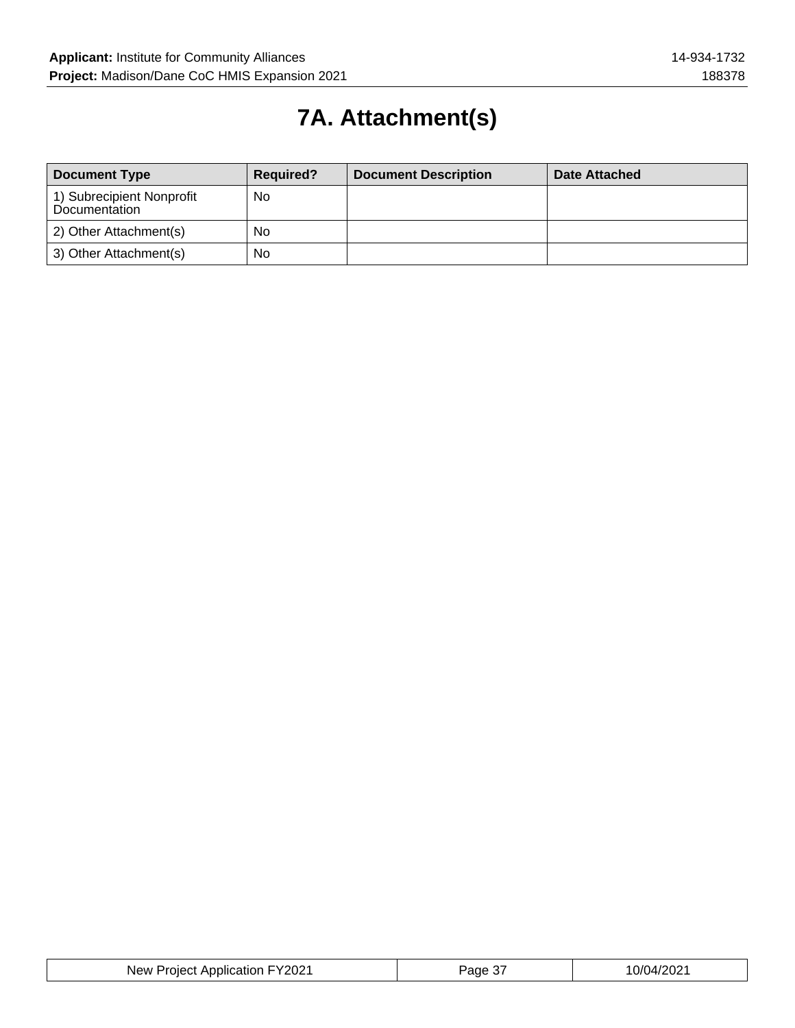# **7A. Attachment(s)**

| <b>Document Type</b>                       | <b>Required?</b> | <b>Document Description</b> | Date Attached |
|--------------------------------------------|------------------|-----------------------------|---------------|
| 1) Subrecipient Nonprofit<br>Documentation | <b>No</b>        |                             |               |
| 2) Other Attachment(s)                     | No               |                             |               |
| 3) Other Attachment(s)                     | No               |                             |               |

| New Project Application FY2021 | Page 37 | 10/04/2021 |
|--------------------------------|---------|------------|
|--------------------------------|---------|------------|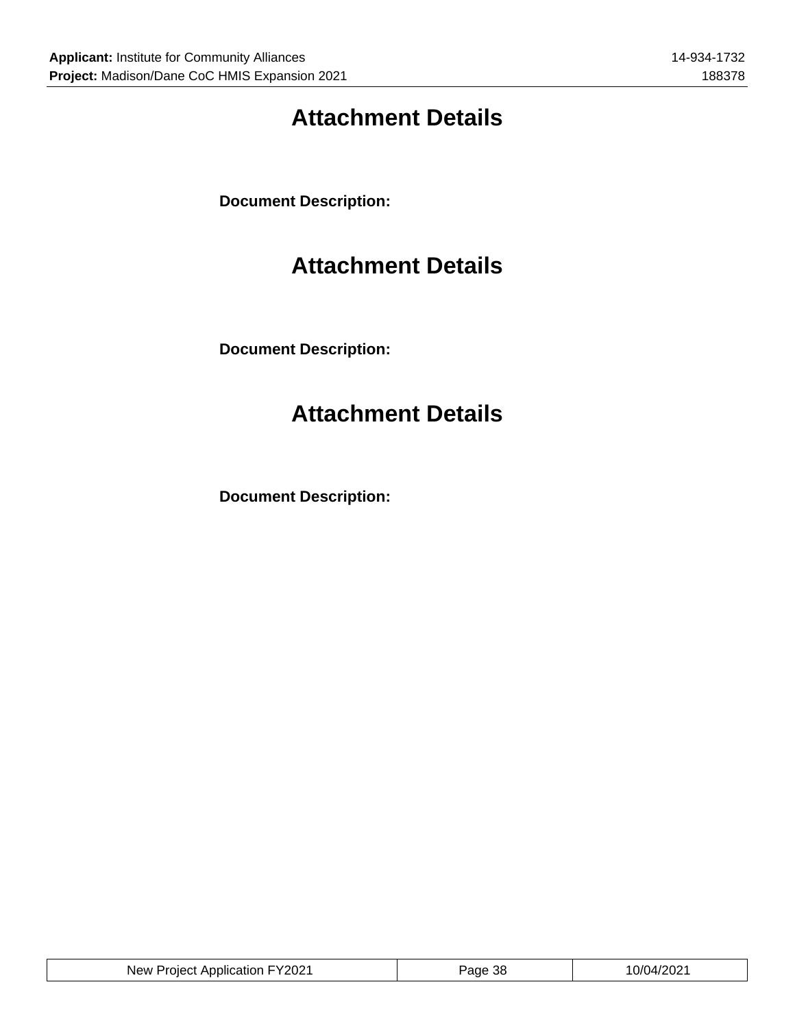# **Attachment Details**

**Document Description:**

# **Attachment Details**

**Document Description:**

# **Attachment Details**

**Document Description:**

|  | New Project Application FY2021 | Page 38 | 10/04/2021 |
|--|--------------------------------|---------|------------|
|--|--------------------------------|---------|------------|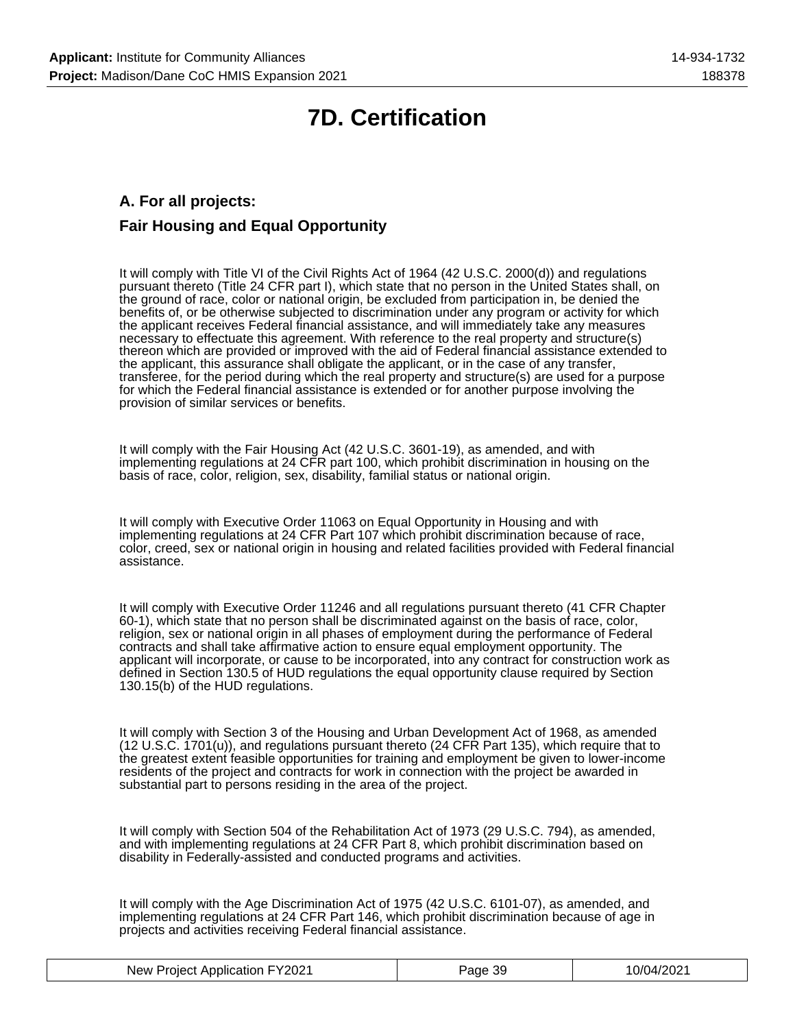# **7D. Certification**

## **A. For all projects: Fair Housing and Equal Opportunity**

It will comply with Title VI of the Civil Rights Act of 1964 (42 U.S.C. 2000(d)) and regulations pursuant thereto (Title 24 CFR part I), which state that no person in the United States shall, on the ground of race, color or national origin, be excluded from participation in, be denied the benefits of, or be otherwise subjected to discrimination under any program or activity for which the applicant receives Federal financial assistance, and will immediately take any measures necessary to effectuate this agreement. With reference to the real property and structure(s) thereon which are provided or improved with the aid of Federal financial assistance extended to the applicant, this assurance shall obligate the applicant, or in the case of any transfer, transferee, for the period during which the real property and structure(s) are used for a purpose for which the Federal financial assistance is extended or for another purpose involving the provision of similar services or benefits.

It will comply with the Fair Housing Act (42 U.S.C. 3601-19), as amended, and with implementing regulations at 24 CFR part 100, which prohibit discrimination in housing on the basis of race, color, religion, sex, disability, familial status or national origin.

It will comply with Executive Order 11063 on Equal Opportunity in Housing and with implementing regulations at 24 CFR Part 107 which prohibit discrimination because of race, color, creed, sex or national origin in housing and related facilities provided with Federal financial assistance.

It will comply with Executive Order 11246 and all regulations pursuant thereto (41 CFR Chapter 60-1), which state that no person shall be discriminated against on the basis of race, color, religion, sex or national origin in all phases of employment during the performance of Federal contracts and shall take affirmative action to ensure equal employment opportunity. The applicant will incorporate, or cause to be incorporated, into any contract for construction work as defined in Section 130.5 of HUD regulations the equal opportunity clause required by Section 130.15(b) of the HUD regulations.

It will comply with Section 3 of the Housing and Urban Development Act of 1968, as amended (12 U.S.C. 1701(u)), and regulations pursuant thereto (24 CFR Part 135), which require that to the greatest extent feasible opportunities for training and employment be given to lower-income residents of the project and contracts for work in connection with the project be awarded in substantial part to persons residing in the area of the project.

It will comply with Section 504 of the Rehabilitation Act of 1973 (29 U.S.C. 794), as amended, and with implementing regulations at 24 CFR Part 8, which prohibit discrimination based on disability in Federally-assisted and conducted programs and activities.

It will comply with the Age Discrimination Act of 1975 (42 U.S.C. 6101-07), as amended, and implementing regulations at 24 CFR Part 146, which prohibit discrimination because of age in projects and activities receiving Federal financial assistance.

| New Project Application FY2021 | Page 39 | 10/04/2021 |
|--------------------------------|---------|------------|
|--------------------------------|---------|------------|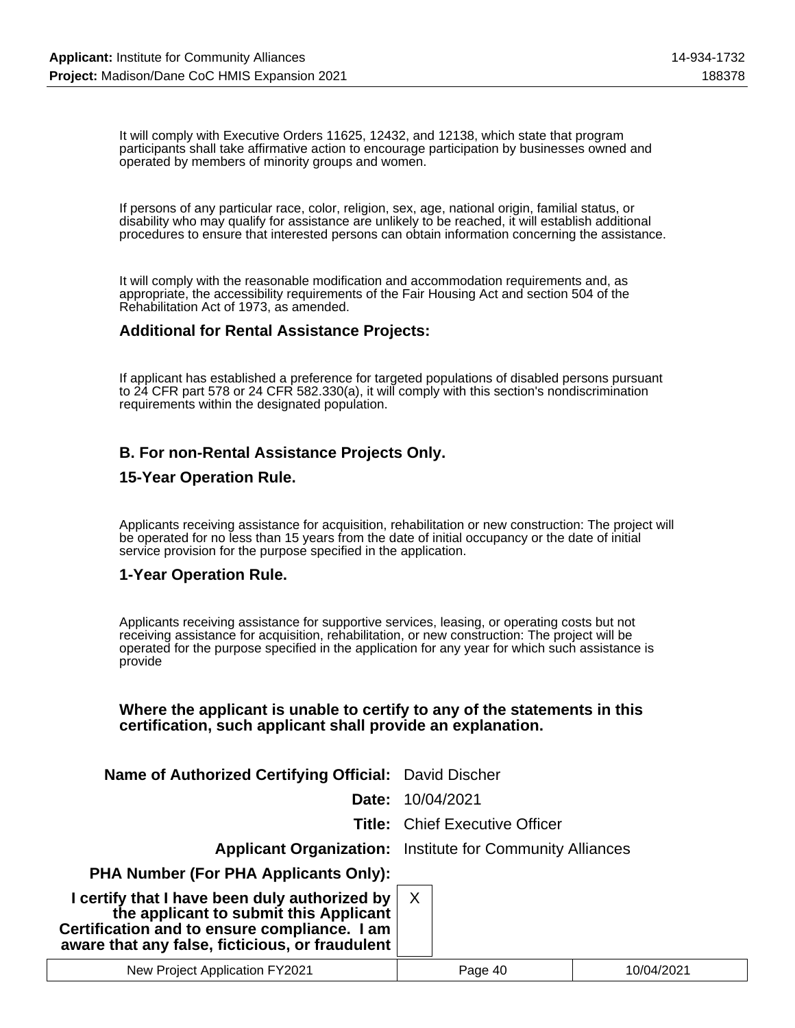It will comply with Executive Orders 11625, 12432, and 12138, which state that program participants shall take affirmative action to encourage participation by businesses owned and operated by members of minority groups and women.

If persons of any particular race, color, religion, sex, age, national origin, familial status, or disability who may qualify for assistance are unlikely to be reached, it will establish additional procedures to ensure that interested persons can obtain information concerning the assistance.

It will comply with the reasonable modification and accommodation requirements and, as appropriate, the accessibility requirements of the Fair Housing Act and section 504 of the Rehabilitation Act of 1973, as amended.

### **Additional for Rental Assistance Projects:**

If applicant has established a preference for targeted populations of disabled persons pursuant to 24 CFR part 578 or 24 CFR 582.330(a), it will comply with this section's nondiscrimination requirements within the designated population.

### **B. For non-Rental Assistance Projects Only.**

### **15-Year Operation Rule.**

Applicants receiving assistance for acquisition, rehabilitation or new construction: The project will be operated for no less than 15 years from the date of initial occupancy or the date of initial service provision for the purpose specified in the application.

#### **1-Year Operation Rule.**

Applicants receiving assistance for supportive services, leasing, or operating costs but not receiving assistance for acquisition, rehabilitation, or new construction: The project will be operated for the purpose specified in the application for any year for which such assistance is provide

#### **Where the applicant is unable to certify to any of the statements in this certification, such applicant shall provide an explanation.**

**Name of Authorized Certifying Official:** David Discher

**Date:** 10/04/2021

**Title:** Chief Executive Officer

**Applicant Organization:** Institute for Community Alliances

**PHA Number (For PHA Applicants Only):**

**I certify that I have been duly authorized by the applicant to submit this Applicant Certification and to ensure compliance. I am aware that any false, ficticious, or fraudulent**

| New Project Application FY2021 | Page 40 | 10/04/2021 |
|--------------------------------|---------|------------|
|--------------------------------|---------|------------|

X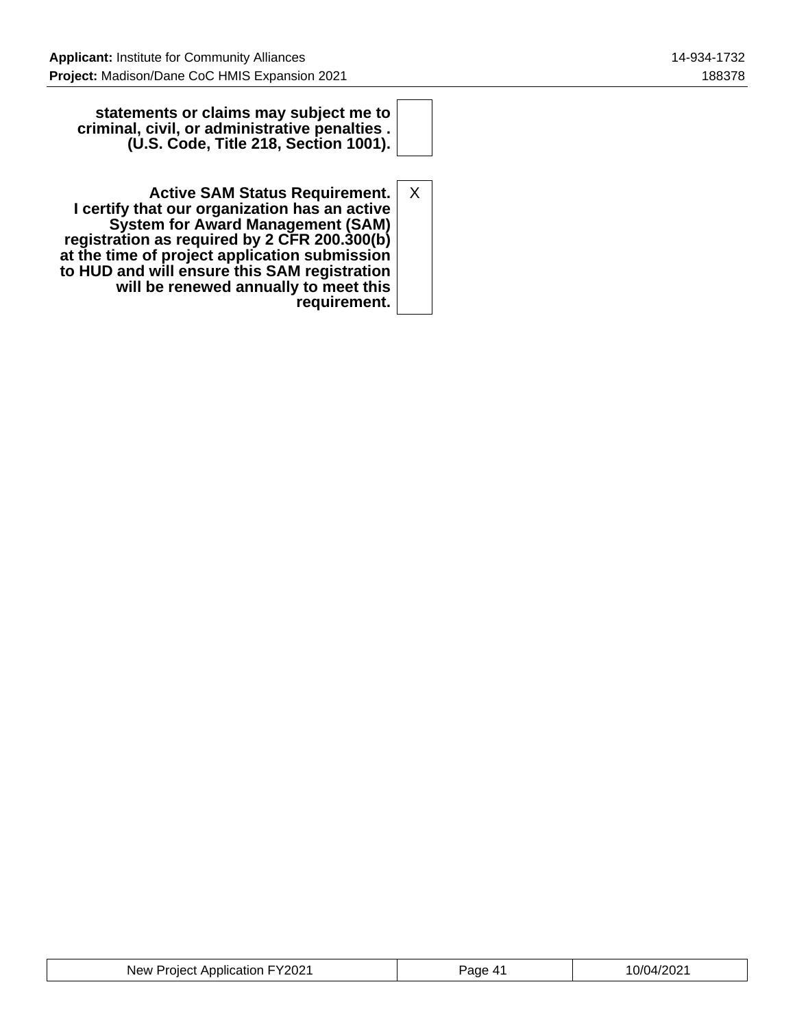**statements or claims may subject me to criminal, civil, or administrative penalties . (U.S. Code, Title 218, Section 1001).**

**Active SAM Status Requirement. I certify that our organization has an active System for Award Management (SAM) registration as required by 2 CFR 200.300(b) at the time of project application submission to HUD and will ensure this SAM registration will be renewed annually to meet this requirement.** X

| New Project Application FY2021 | Page | 10/04/2021 |
|--------------------------------|------|------------|
|--------------------------------|------|------------|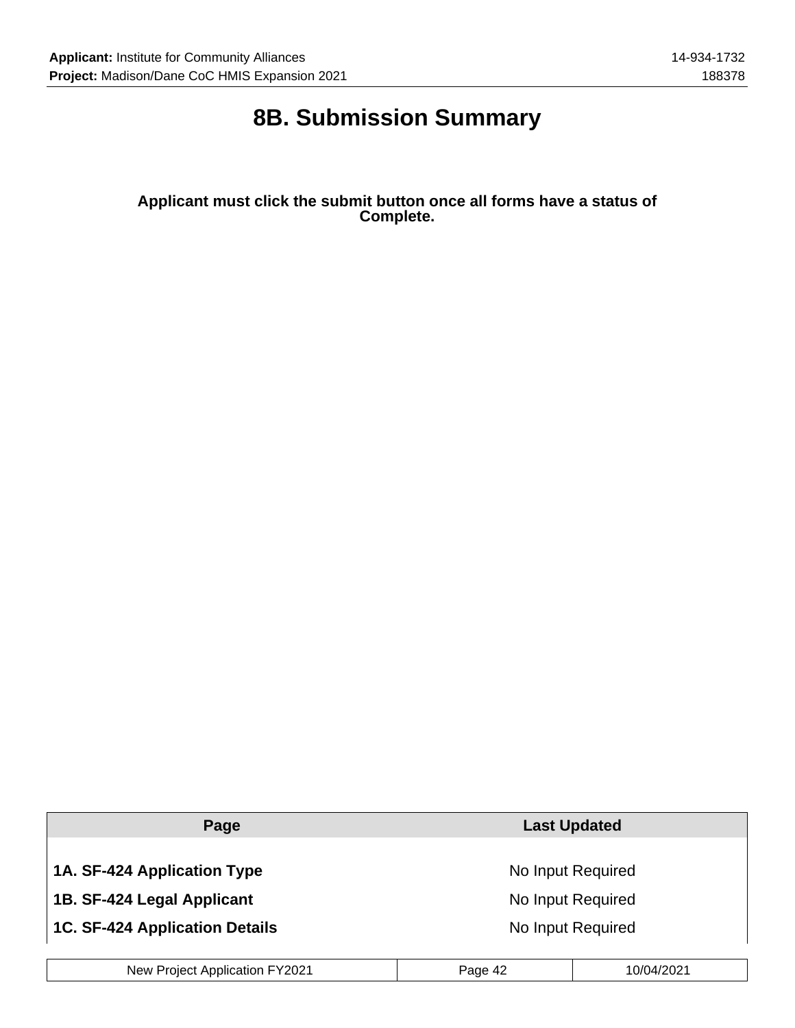# **8B. Submission Summary**

**Applicant must click the submit button once all forms have a status of Complete.**

| Page                                  | <b>Last Updated</b> |            |
|---------------------------------------|---------------------|------------|
| 1A. SF-424 Application Type           | No Input Required   |            |
| 1B. SF-424 Legal Applicant            | No Input Required   |            |
| <b>1C. SF-424 Application Details</b> | No Input Required   |            |
| <b>New Project Application FY2021</b> | Page 42             | 10/04/2021 |